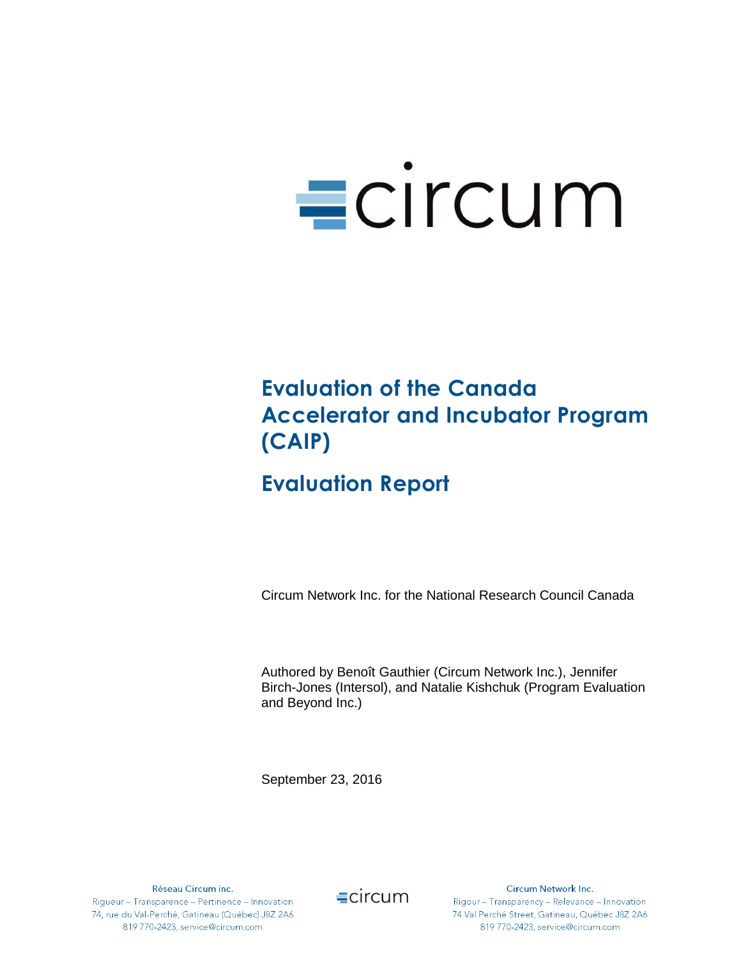# $=$   $Circum$

# **Evaluation of the Canada Accelerator and Incubator Program (CAIP)**

# **Evaluation Report**

Circum Network Inc. for the National Research Council Canada

Authored by Benoît Gauthier (Circum Network Inc.), Jennifer Birch-Jones (Intersol), and Natalie Kishchuk (Program Evaluation and Beyond Inc.)

September 23, 2016

Réseau Circum inc. Rigueur - Transparence - Pertinence - Innovation 74, rue du Val-Perché, Gatineau (Québec) J8Z 2A6 819 770-2423, service@circum.com

 $=$ circum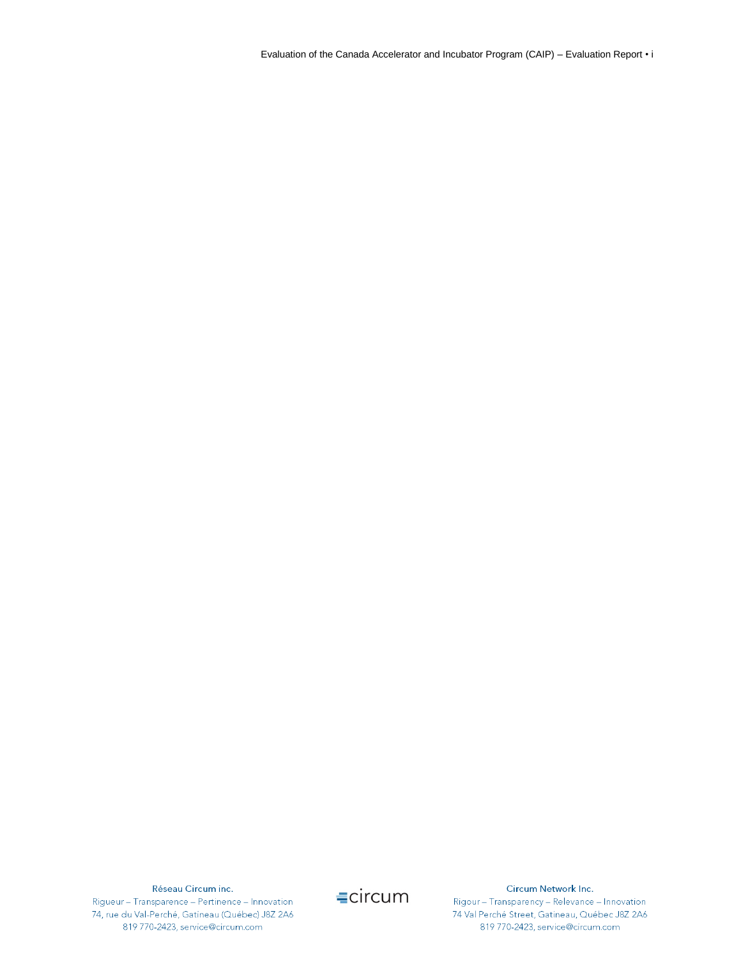Evaluation of the Canada Accelerator and Incubator Program (CAIP) – Evaluation Report • i

#### Réseau Circum inc.

Rigueur – Transparence – Pertinence – Innovation 74, rue du Val-Perché, Gatineau (Québec) J8Z 2A6 819 770-2423, service@circum.com

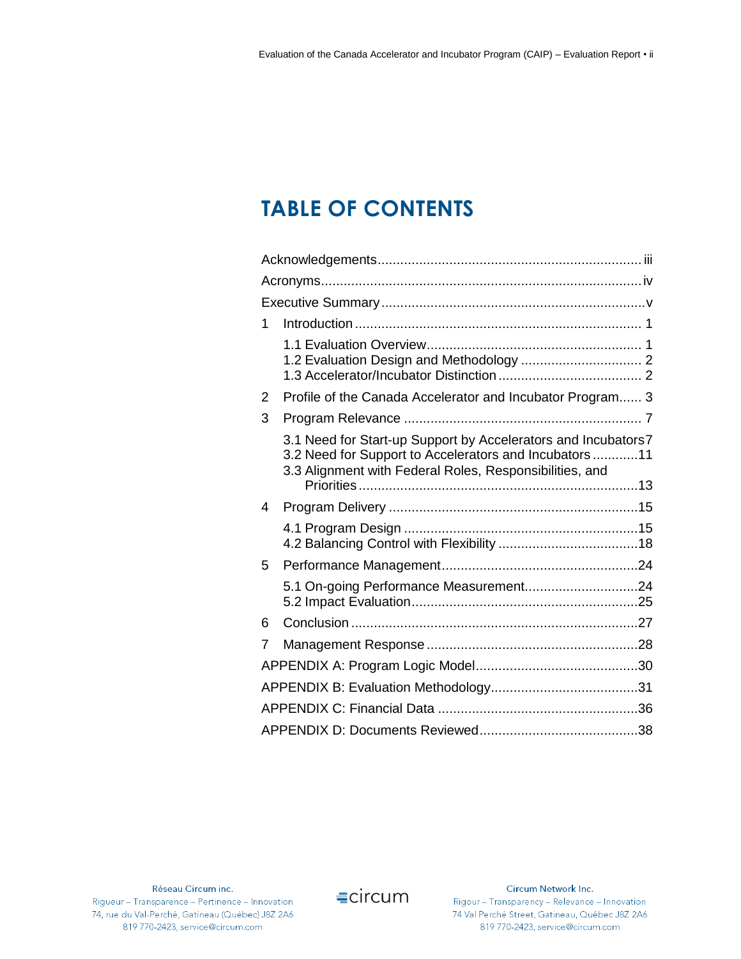# **TABLE OF CONTENTS**

| 1 |                                                                                                                                                                                   |  |
|---|-----------------------------------------------------------------------------------------------------------------------------------------------------------------------------------|--|
|   |                                                                                                                                                                                   |  |
| 2 | Profile of the Canada Accelerator and Incubator Program 3                                                                                                                         |  |
| 3 |                                                                                                                                                                                   |  |
|   | 3.1 Need for Start-up Support by Accelerators and Incubators7<br>3.2 Need for Support to Accelerators and Incubators11<br>3.3 Alignment with Federal Roles, Responsibilities, and |  |
| 4 |                                                                                                                                                                                   |  |
|   |                                                                                                                                                                                   |  |
| 5 |                                                                                                                                                                                   |  |
|   | 5.1 On-going Performance Measurement24                                                                                                                                            |  |
| 6 |                                                                                                                                                                                   |  |
| 7 |                                                                                                                                                                                   |  |
|   |                                                                                                                                                                                   |  |
|   |                                                                                                                                                                                   |  |
|   |                                                                                                                                                                                   |  |
|   |                                                                                                                                                                                   |  |

 $=$ circum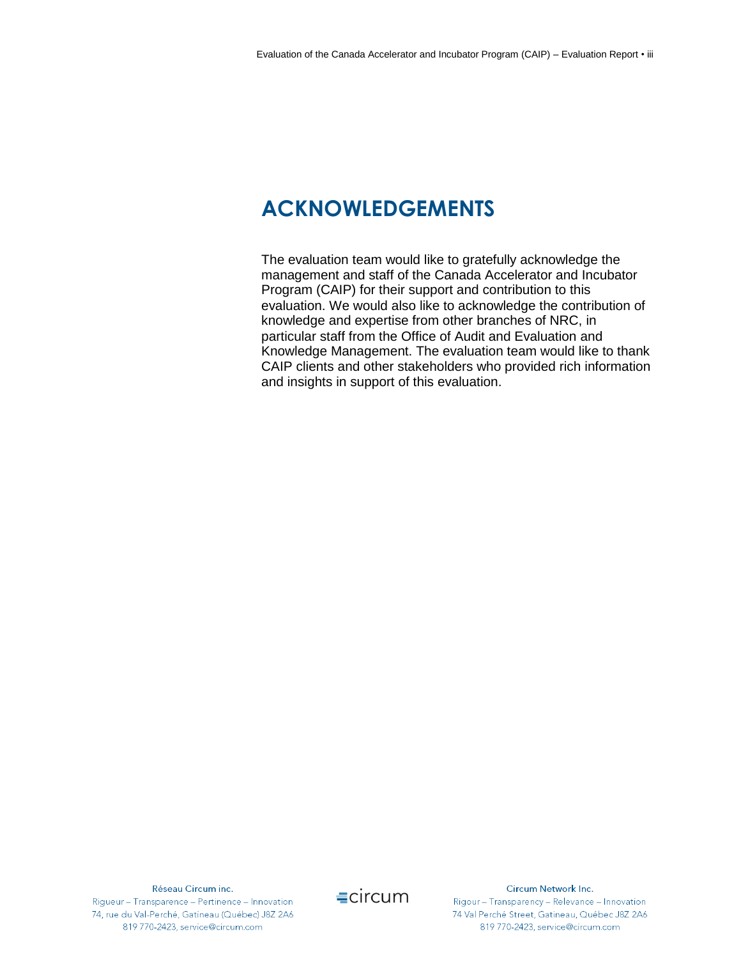# <span id="page-3-0"></span>**ACKNOWLEDGEMENTS**

The evaluation team would like to gratefully acknowledge the management and staff of the Canada Accelerator and Incubator Program (CAIP) for their support and contribution to this evaluation. We would also like to acknowledge the contribution of knowledge and expertise from other branches of NRC, in particular staff from the Office of Audit and Evaluation and Knowledge Management. The evaluation team would like to thank CAIP clients and other stakeholders who provided rich information and insights in support of this evaluation.

#### Réseau Circum inc.

Rigueur - Transparence - Pertinence - Innovation 74, rue du Val-Perché, Gatineau (Québec) J8Z 2A6 819 770-2423, service@circum.com

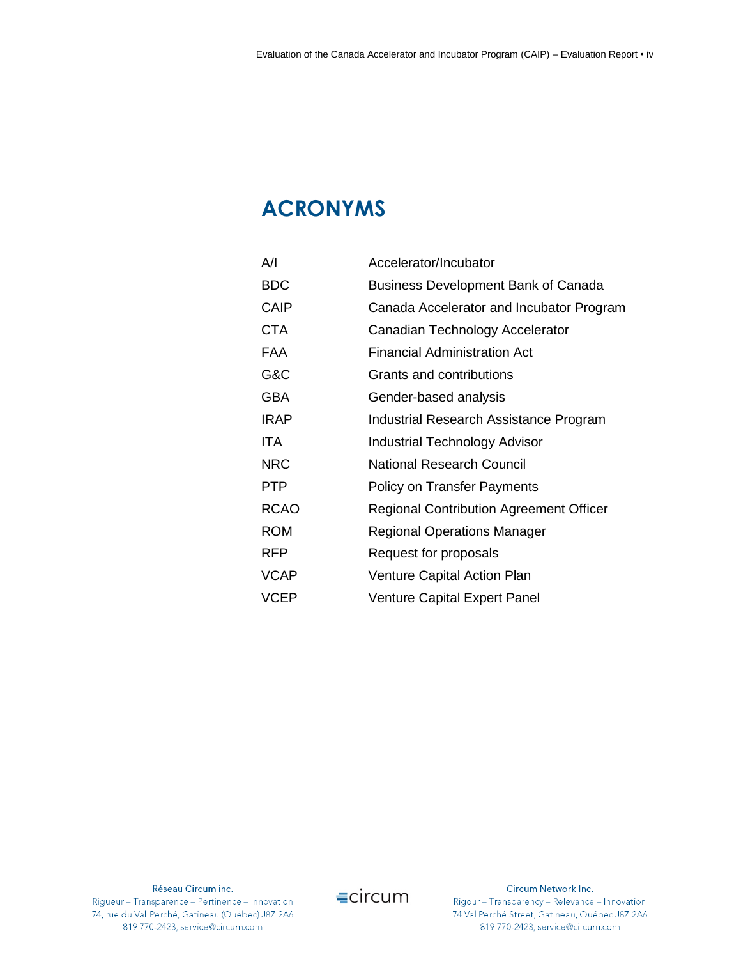# <span id="page-4-0"></span>**ACRONYMS**

| A/I         | Accelerator/Incubator                          |
|-------------|------------------------------------------------|
| <b>BDC</b>  | <b>Business Development Bank of Canada</b>     |
| <b>CAIP</b> | Canada Accelerator and Incubator Program       |
| <b>CTA</b>  | Canadian Technology Accelerator                |
| <b>FAA</b>  | Financial Administration Act                   |
| G&C         | Grants and contributions                       |
| <b>GBA</b>  | Gender-based analysis                          |
| <b>IRAP</b> | Industrial Research Assistance Program         |
| <b>ITA</b>  | <b>Industrial Technology Advisor</b>           |
| <b>NRC</b>  | National Research Council                      |
| <b>PTP</b>  | <b>Policy on Transfer Payments</b>             |
| <b>RCAO</b> | <b>Regional Contribution Agreement Officer</b> |
| <b>ROM</b>  | Regional Operations Manager                    |
| <b>RFP</b>  | Request for proposals                          |
| <b>VCAP</b> | <b>Venture Capital Action Plan</b>             |
| VCEP        | <b>Venture Capital Expert Panel</b>            |

Réseau Circum inc. Rigueur – Transparence – Pertinence – Innovation 74, rue du Val-Perché, Gatineau (Québec) J8Z 2A6 819 770-2423, service@circum.com

 $=$ circum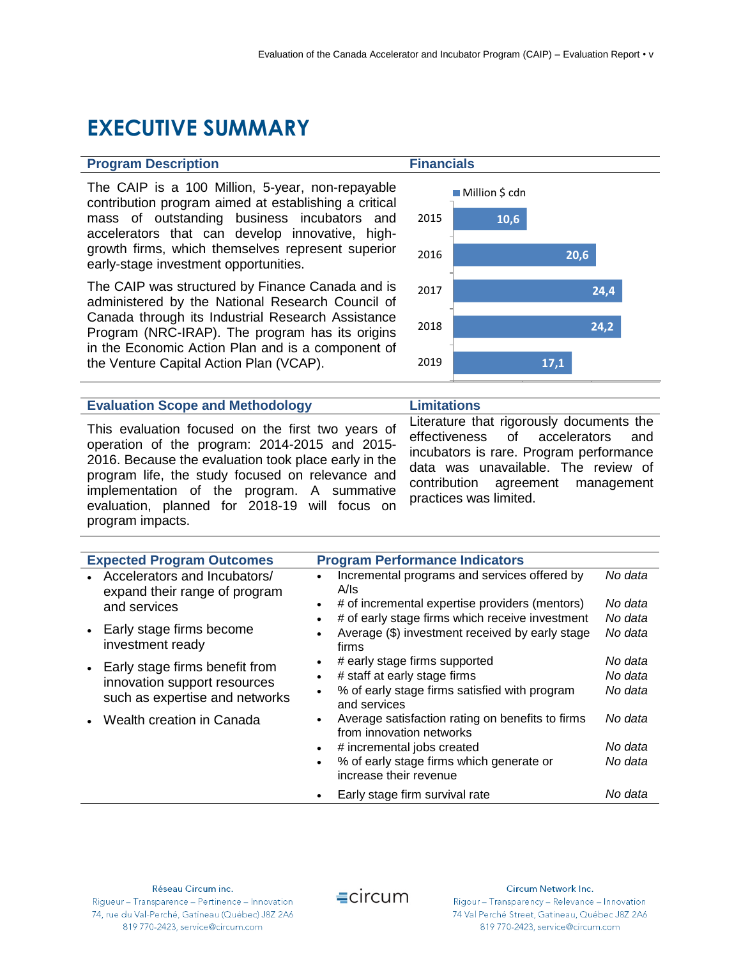# <span id="page-5-0"></span>**EXECUTIVE SUMMARY**

#### **Program Description Financials**

The CAIP is a 100 Million, 5-year, non-repayable contribution program aimed at establishing a critical mass of outstanding business incubators and accelerators that can develop innovative, highgrowth firms, which themselves represent superior early-stage investment opportunities.

The CAIP was structured by Finance Canada and is administered by the National Research Council of Canada through its Industrial Research Assistance Program (NRC-IRAP). The program has its origins in the Economic Action Plan and is a component of the Venture Capital Action Plan (VCAP).



#### **Evaluation Scope and Methodology Limitations**

This evaluation focused on the first two years of operation of the program: 2014-2015 and 2015- 2016. Because the evaluation took place early in the program life, the study focused on relevance and implementation of the program. A summative evaluation, planned for 2018-19 will focus on program impacts.

Literature that rigorously documents the effectiveness of accelerators and incubators is rare. Program performance data was unavailable. The review of contribution agreement management practices was limited.

| <b>Expected Program Outcomes</b>                                                                 | <b>Program Performance Indicators</b>                                                                                          |                               |
|--------------------------------------------------------------------------------------------------|--------------------------------------------------------------------------------------------------------------------------------|-------------------------------|
| • Accelerators and Incubators/<br>expand their range of program                                  | Incremental programs and services offered by<br>$\bullet$<br>A/Is                                                              | No data                       |
| and services                                                                                     | # of incremental expertise providers (mentors)                                                                                 | No data                       |
| Early stage firms become<br>investment ready                                                     | # of early stage firms which receive investment<br>Average (\$) investment received by early stage<br>firms                    | No data<br>No data            |
| Early stage firms benefit from<br>innovation support resources<br>such as expertise and networks | # early stage firms supported<br># staff at early stage firms<br>% of early stage firms satisfied with program<br>and services | No data<br>No data<br>No data |
| Wealth creation in Canada                                                                        | Average satisfaction rating on benefits to firms<br>from innovation networks                                                   | No data                       |
|                                                                                                  | # incremental jobs created                                                                                                     | No data                       |
|                                                                                                  | % of early stage firms which generate or<br>increase their revenue                                                             | No data                       |
|                                                                                                  | Early stage firm survival rate                                                                                                 | No data                       |

 $=$ circum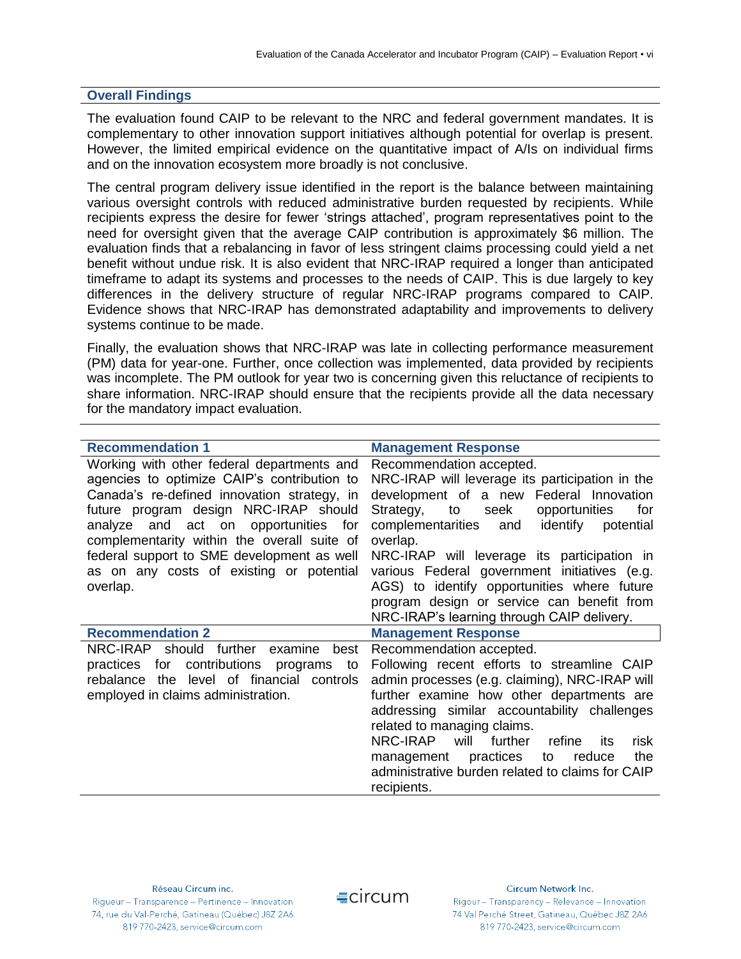#### **Overall Findings**

The evaluation found CAIP to be relevant to the NRC and federal government mandates. It is complementary to other innovation support initiatives although potential for overlap is present. However, the limited empirical evidence on the quantitative impact of A/Is on individual firms and on the innovation ecosystem more broadly is not conclusive.

The central program delivery issue identified in the report is the balance between maintaining various oversight controls with reduced administrative burden requested by recipients. While recipients express the desire for fewer 'strings attached', program representatives point to the need for oversight given that the average CAIP contribution is approximately \$6 million. The evaluation finds that a rebalancing in favor of less stringent claims processing could yield a net benefit without undue risk. It is also evident that NRC-IRAP required a longer than anticipated timeframe to adapt its systems and processes to the needs of CAIP. This is due largely to key differences in the delivery structure of regular NRC-IRAP programs compared to CAIP. Evidence shows that NRC-IRAP has demonstrated adaptability and improvements to delivery systems continue to be made.

Finally, the evaluation shows that NRC-IRAP was late in collecting performance measurement (PM) data for year-one. Further, once collection was implemented, data provided by recipients was incomplete. The PM outlook for year two is concerning given this reluctance of recipients to share information. NRC-IRAP should ensure that the recipients provide all the data necessary for the mandatory impact evaluation.

| <b>Recommendation 1</b>                                                                                                                                                                                                                                                                                                                                                        | <b>Management Response</b>                                                                                                                                                                                                                                                                                                                                                                                                                                                        |  |  |  |  |
|--------------------------------------------------------------------------------------------------------------------------------------------------------------------------------------------------------------------------------------------------------------------------------------------------------------------------------------------------------------------------------|-----------------------------------------------------------------------------------------------------------------------------------------------------------------------------------------------------------------------------------------------------------------------------------------------------------------------------------------------------------------------------------------------------------------------------------------------------------------------------------|--|--|--|--|
| Working with other federal departments and<br>agencies to optimize CAIP's contribution to<br>Canada's re-defined innovation strategy, in<br>future program design NRC-IRAP should<br>analyze and act on opportunities for<br>complementarity within the overall suite of<br>federal support to SME development as well<br>as on any costs of existing or potential<br>overlap. | Recommendation accepted.<br>NRC-IRAP will leverage its participation in the<br>development of a new Federal Innovation<br>Strategy, to<br>seek<br>opportunities<br>for<br>complementarities<br>identify<br>and<br>potential<br>overlap.<br>NRC-IRAP will leverage its participation in<br>various Federal government initiatives (e.g.<br>AGS) to identify opportunities where future<br>program design or service can benefit from<br>NRC-IRAP's learning through CAIP delivery. |  |  |  |  |
| <b>Recommendation 2</b>                                                                                                                                                                                                                                                                                                                                                        | <b>Management Response</b>                                                                                                                                                                                                                                                                                                                                                                                                                                                        |  |  |  |  |
| NRC-IRAP<br>should further<br>examine<br>best<br>practices for contributions<br>programs<br>to<br>the level of financial controls<br>rebalance<br>employed in claims administration.                                                                                                                                                                                           | Recommendation accepted.<br>Following recent efforts to streamline CAIP<br>admin processes (e.g. claiming), NRC-IRAP will<br>further examine how other departments are<br>addressing similar accountability challenges<br>related to managing claims.<br>NRC-IRAP<br>will<br>further<br>refine<br>risk<br>its<br>the<br>management practices<br>to<br>reduce<br>administrative burden related to claims for CAIP<br>recipients.                                                   |  |  |  |  |

 $=$ circum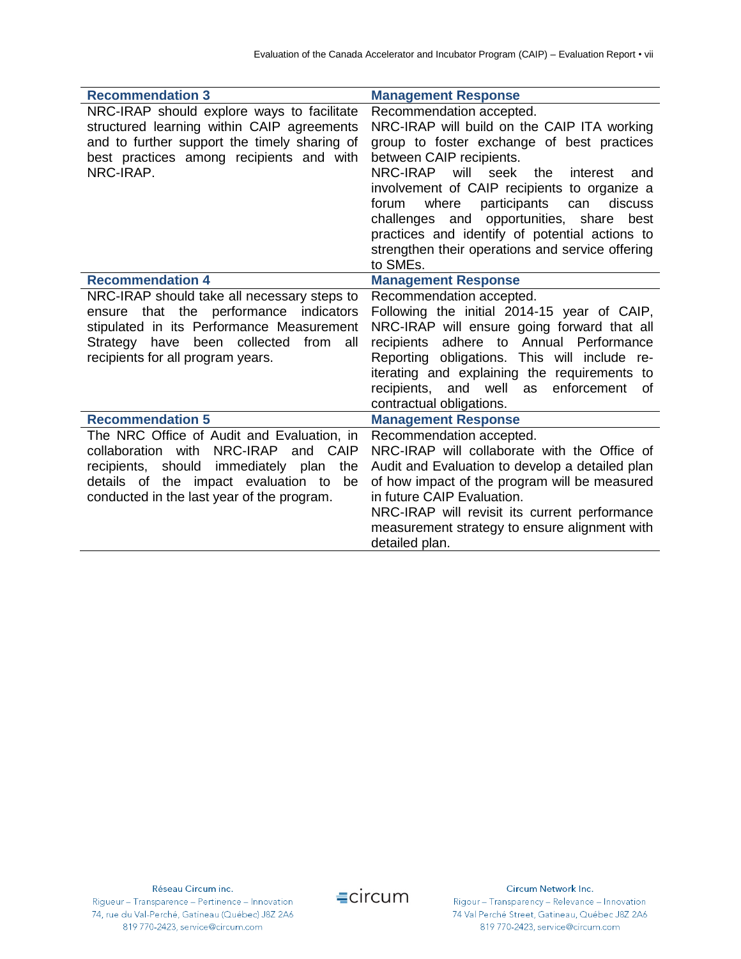| <b>Recommendation 3</b>                                                                                                                                                                                                              | <b>Management Response</b>                                                                                                                                                                                                                                                                                                                                                                                                                                             |
|--------------------------------------------------------------------------------------------------------------------------------------------------------------------------------------------------------------------------------------|------------------------------------------------------------------------------------------------------------------------------------------------------------------------------------------------------------------------------------------------------------------------------------------------------------------------------------------------------------------------------------------------------------------------------------------------------------------------|
| NRC-IRAP should explore ways to facilitate<br>structured learning within CAIP agreements<br>and to further support the timely sharing of<br>best practices among recipients and with<br>NRC-IRAP.                                    | Recommendation accepted.<br>NRC-IRAP will build on the CAIP ITA working<br>group to foster exchange of best practices<br>between CAIP recipients.<br>NRC-IRAP<br>will seek<br>the<br>interest<br>and<br>involvement of CAIP recipients to organize a<br>where<br>participants<br>discuss<br>forum<br>can<br>challenges and opportunities, share best<br>practices and identify of potential actions to<br>strengthen their operations and service offering<br>to SMEs. |
| <b>Recommendation 4</b>                                                                                                                                                                                                              | <b>Management Response</b>                                                                                                                                                                                                                                                                                                                                                                                                                                             |
| NRC-IRAP should take all necessary steps to<br>ensure that the performance<br>indicators<br>stipulated in its Performance Measurement<br>Strategy have been collected<br>from<br>all<br>recipients for all program years.            | Recommendation accepted.<br>Following the initial 2014-15 year of CAIP,<br>NRC-IRAP will ensure going forward that all<br>adhere to Annual Performance<br>recipients<br>Reporting obligations. This will include re-<br>iterating and explaining the requirements to<br>recipients, and well<br>enforcement<br>of<br>as<br>contractual obligations.                                                                                                                    |
| <b>Recommendation 5</b>                                                                                                                                                                                                              | <b>Management Response</b>                                                                                                                                                                                                                                                                                                                                                                                                                                             |
| The NRC Office of Audit and Evaluation, in<br>collaboration with NRC-IRAP<br>and CAIP<br>should immediately plan<br>the<br>recipients,<br>the impact evaluation to<br>details of<br>be<br>conducted in the last year of the program. | Recommendation accepted.<br>NRC-IRAP will collaborate with the Office of<br>Audit and Evaluation to develop a detailed plan<br>of how impact of the program will be measured<br>in future CAIP Evaluation.<br>NRC-IRAP will revisit its current performance<br>measurement strategy to ensure alignment with<br>detailed plan.                                                                                                                                         |

Réseau Circum inc. Rigueur - Transparence - Pertinence - Innovation 74, rue du Val-Perché, Gatineau (Québec) J8Z 2A6 819 770-2423, service@circum.com

 $=$ circum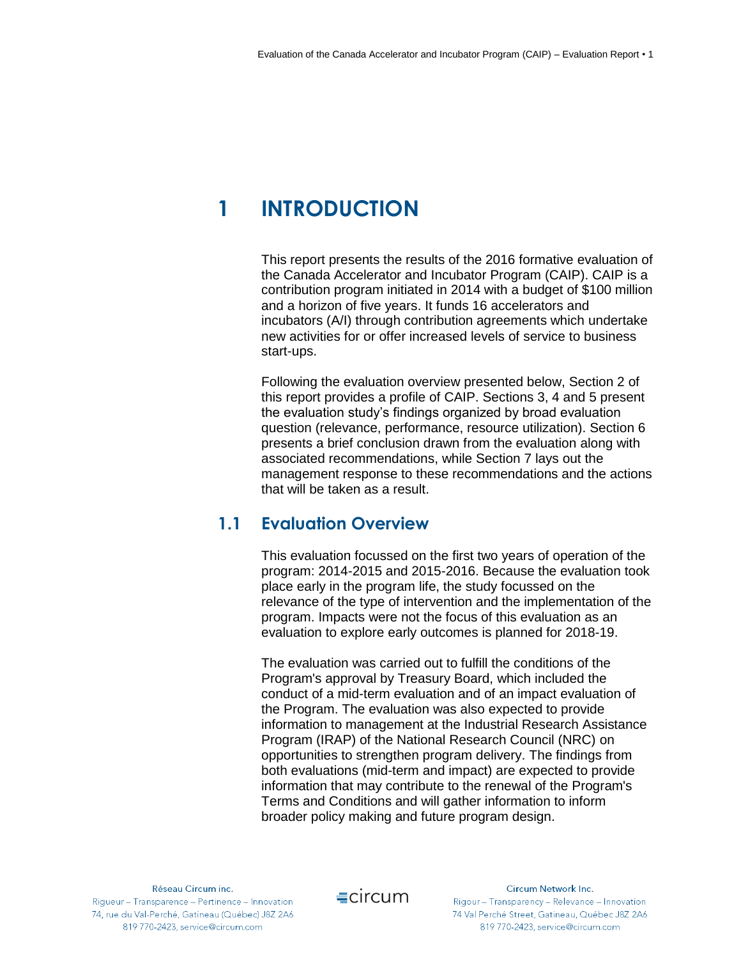# <span id="page-8-0"></span>**1 INTRODUCTION**

This report presents the results of the 2016 formative evaluation of the Canada Accelerator and Incubator Program (CAIP). CAIP is a contribution program initiated in 2014 with a budget of \$100 million and a horizon of five years. It funds 16 accelerators and incubators (A/I) through contribution agreements which undertake new activities for or offer increased levels of service to business start-ups.

Following the evaluation overview presented below, Section 2 of this report provides a profile of CAIP. Sections 3, 4 and 5 present the evaluation study's findings organized by broad evaluation question (relevance, performance, resource utilization). Section 6 presents a brief conclusion drawn from the evaluation along with associated recommendations, while Section 7 lays out the management response to these recommendations and the actions that will be taken as a result.

## <span id="page-8-1"></span>**1.1 Evaluation Overview**

This evaluation focussed on the first two years of operation of the program: 2014-2015 and 2015-2016. Because the evaluation took place early in the program life, the study focussed on the relevance of the type of intervention and the implementation of the program. Impacts were not the focus of this evaluation as an evaluation to explore early outcomes is planned for 2018-19.

The evaluation was carried out to fulfill the conditions of the Program's approval by Treasury Board, which included the conduct of a mid-term evaluation and of an impact evaluation of the Program. The evaluation was also expected to provide information to management at the Industrial Research Assistance Program (IRAP) of the National Research Council (NRC) on opportunities to strengthen program delivery. The findings from both evaluations (mid-term and impact) are expected to provide information that may contribute to the renewal of the Program's Terms and Conditions and will gather information to inform broader policy making and future program design.

Réseau Circum inc. Rigueur – Transparence – Pertinence – Innovation 74, rue du Val-Perché, Gatineau (Québec) J8Z 2A6 819 770-2423, service@circum.com

 $=$ circum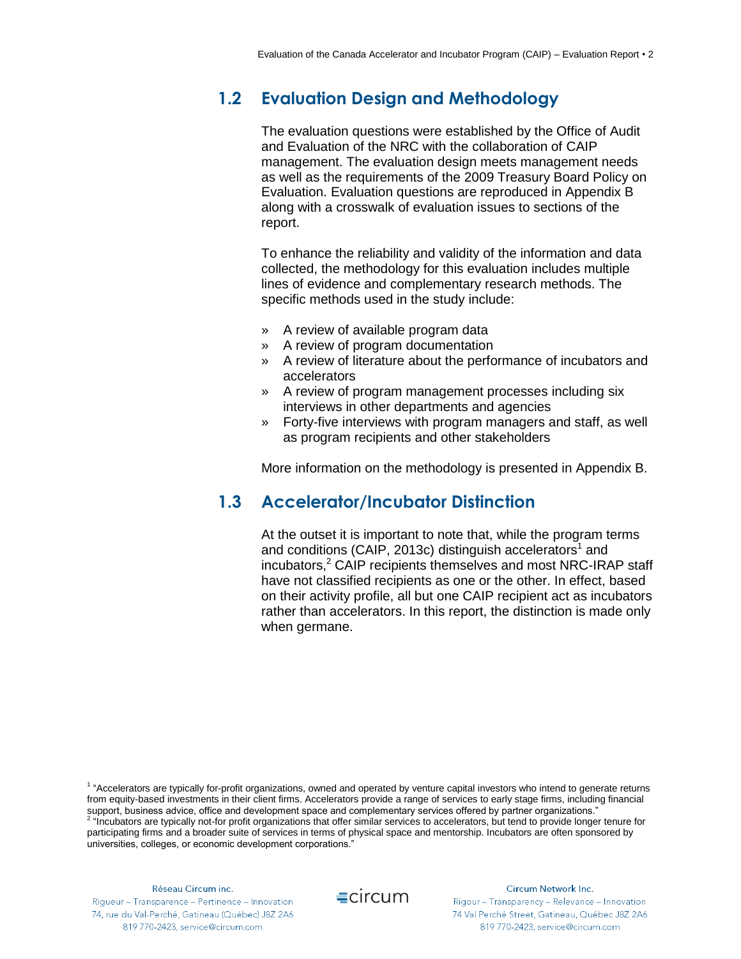## <span id="page-9-0"></span>**1.2 Evaluation Design and Methodology**

The evaluation questions were established by the Office of Audit and Evaluation of the NRC with the collaboration of CAIP management. The evaluation design meets management needs as well as the requirements of the 2009 Treasury Board Policy on Evaluation. Evaluation questions are reproduced in Appendix B along with a crosswalk of evaluation issues to sections of the report.

To enhance the reliability and validity of the information and data collected, the methodology for this evaluation includes multiple lines of evidence and complementary research methods. The specific methods used in the study include:

- » A review of available program data
- » A review of program documentation
- » A review of literature about the performance of incubators and accelerators
- » A review of program management processes including six interviews in other departments and agencies
- » Forty-five interviews with program managers and staff, as well as program recipients and other stakeholders

More information on the methodology is presented in Appendix B.

## <span id="page-9-1"></span>**1.3 Accelerator/Incubator Distinction**

At the outset it is important to note that, while the program terms and conditions (CAIP, 2013c) distinguish accelerators<sup>1</sup> and incubators, <sup>2</sup> CAIP recipients themselves and most NRC-IRAP staff have not classified recipients as one or the other. In effect, based on their activity profile, all but one CAIP recipient act as incubators rather than accelerators. In this report, the distinction is made only when germane.

<sup>1</sup> "Accelerators are typically for-profit organizations, owned and operated by venture capital investors who intend to generate returns from equity-based investments in their client firms. Accelerators provide a range of services to early stage firms, including financial support, business advice, office and development space and complementary services offered by partner organizations."<br><sup>2</sup> "Incubators are typically not-for profit organizations that offer similar services to accelerators, b participating firms and a broader suite of services in terms of physical space and mentorship. Incubators are often sponsored by universities, colleges, or economic development corporations.

Réseau Circum inc. Rigueur – Transparence – Pertinence – Innovation 74, rue du Val-Perché, Gatineau (Québec) J8Z 2A6 819 770-2423, service@circum.com

 $=$ circum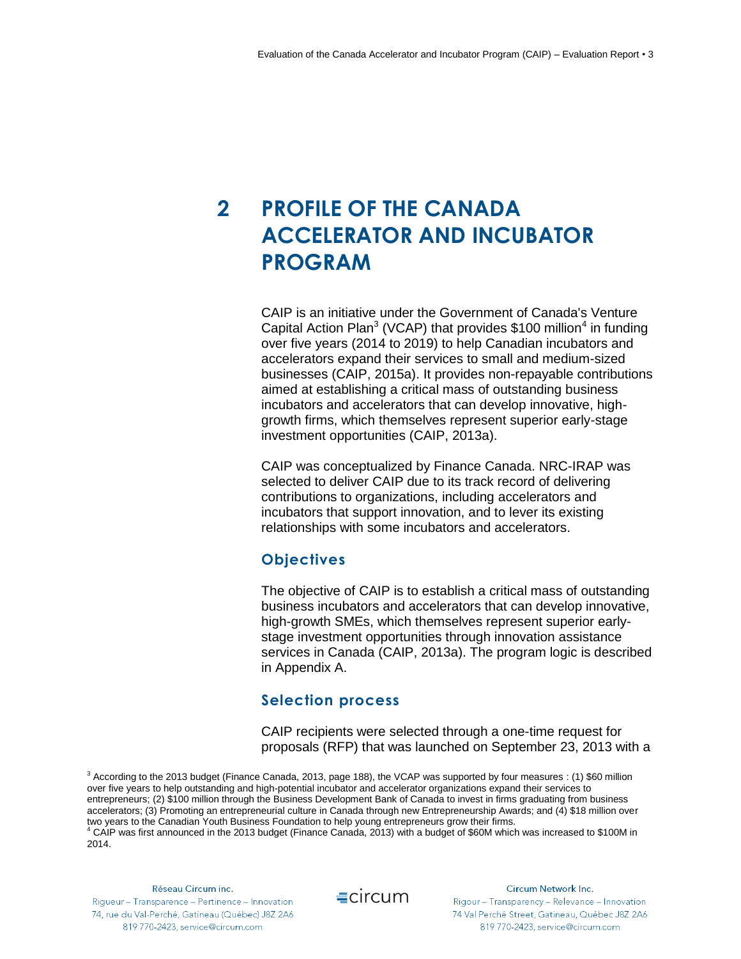# <span id="page-10-0"></span>**2 PROFILE OF THE CANADA ACCELERATOR AND INCUBATOR PROGRAM**

CAIP is an initiative under the Government of Canada's Venture Capital Action Plan<sup>3</sup> (VCAP) that provides \$100 million<sup>4</sup> in funding over five years (2014 to 2019) to help Canadian incubators and accelerators expand their services to small and medium-sized businesses (CAIP, 2015a). It provides non-repayable contributions aimed at establishing a critical mass of outstanding business incubators and accelerators that can develop innovative, highgrowth firms, which themselves represent superior early-stage investment opportunities (CAIP, 2013a).

CAIP was conceptualized by Finance Canada. NRC-IRAP was selected to deliver CAIP due to its track record of delivering contributions to organizations, including accelerators and incubators that support innovation, and to lever its existing relationships with some incubators and accelerators.

## **Objectives**

The objective of CAIP is to establish a critical mass of outstanding business incubators and accelerators that can develop innovative, high-growth SMEs, which themselves represent superior earlystage investment opportunities through innovation assistance services in Canada (CAIP, 2013a). The program logic is described in Appendix A.

## **Selection process**

CAIP recipients were selected through a one-time request for proposals (RFP) that was launched on September 23, 2013 with a

 $3$  According to the 2013 budget (Finance Canada, 2013, page 188), the VCAP was supported by four measures : (1) \$60 million over five years to help outstanding and high-potential incubator and accelerator organizations expand their services to entrepreneurs; (2) \$100 million through the Business Development Bank of Canada to invest in firms graduating from business accelerators; (3) Promoting an entrepreneurial culture in Canada through new Entrepreneurship Awards; and (4) \$18 million over two years to the Canadian Youth Business Foundation to help young entrepreneurs grow their firms.

<sup>4</sup> CAIP was first announced in the 2013 budget (Finance Canada, 2013) with a budget of \$60M which was increased to \$100M in 2014.

#### Réseau Circum inc.

Rigueur - Transparence - Pertinence - Innovation 74, rue du Val-Perché, Gatineau (Québec) J8Z 2A6 819 770-2423, service@circum.com

 $=$ circum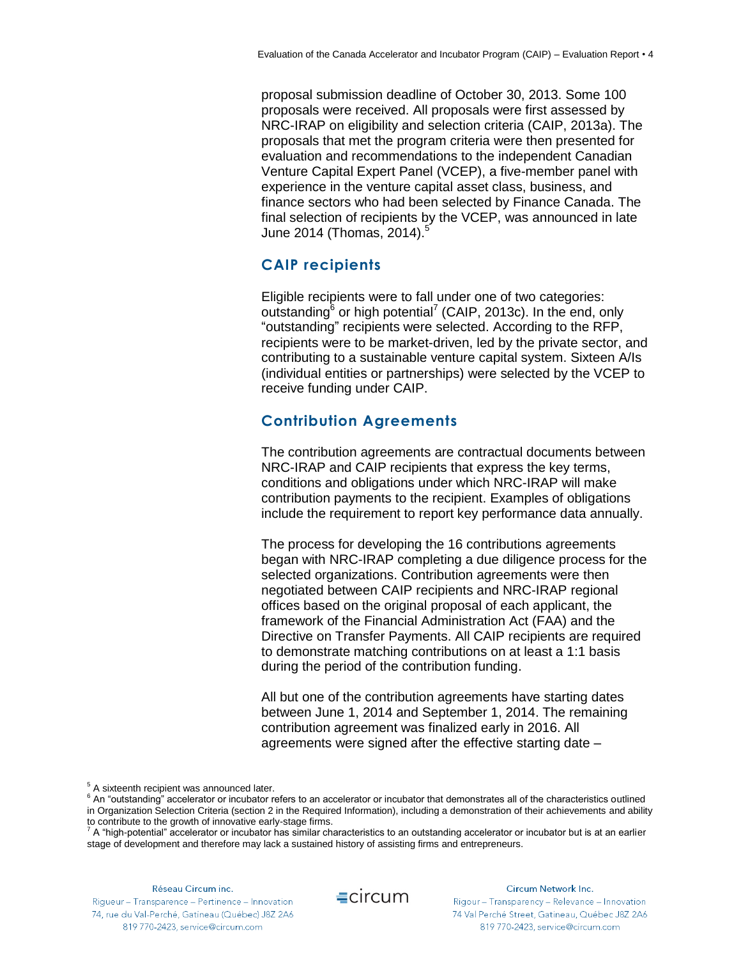proposal submission deadline of October 30, 2013. Some 100 proposals were received. All proposals were first assessed by NRC-IRAP on eligibility and selection criteria (CAIP, 2013a). The proposals that met the program criteria were then presented for evaluation and recommendations to the independent Canadian Venture Capital Expert Panel (VCEP), a five-member panel with experience in the venture capital asset class, business, and finance sectors who had been selected by Finance Canada. The final selection of recipients by the VCEP, was announced in late June 2014 (Thomas, 2014). 5

## **CAIP recipients**

Eligible recipients were to fall under one of two categories: outstanding<sup>6</sup> or high potential<sup>7</sup> (CAIP, 2013c). In the end, only "outstanding" recipients were selected. According to the RFP, recipients were to be market-driven, led by the private sector, and contributing to a sustainable venture capital system. Sixteen A/Is (individual entities or partnerships) were selected by the VCEP to receive funding under CAIP.

#### **Contribution Agreements**

The contribution agreements are contractual documents between NRC-IRAP and CAIP recipients that express the key terms, conditions and obligations under which NRC-IRAP will make contribution payments to the recipient. Examples of obligations include the requirement to report key performance data annually.

The process for developing the 16 contributions agreements began with NRC-IRAP completing a due diligence process for the selected organizations. Contribution agreements were then negotiated between CAIP recipients and NRC-IRAP regional offices based on the original proposal of each applicant, the framework of the Financial Administration Act (FAA) and the Directive on Transfer Payments. All CAIP recipients are required to demonstrate matching contributions on at least a 1:1 basis during the period of the contribution funding.

All but one of the contribution agreements have starting dates between June 1, 2014 and September 1, 2014. The remaining contribution agreement was finalized early in 2016. All agreements were signed after the effective starting date –

#### Réseau Circum inc.

Rigueur – Transparence – Pertinence – Innovation 74, rue du Val-Perché, Gatineau (Québec) J8Z 2A6 819 770-2423, service@circum.com

 $=$ circum

<sup>&</sup>lt;sup>5</sup> A sixteenth recipient was announced later.

<sup>6</sup> An "outstanding" accelerator or incubator refers to an accelerator or incubator that demonstrates all of the characteristics outlined in Organization Selection Criteria (section 2 in the Required Information), including a demonstration of their achievements and ability to contribute to the growth of innovative early-stage firms.

A "high-potential" accelerator or incubator has similar characteristics to an outstanding accelerator or incubator but is at an earlier stage of development and therefore may lack a sustained history of assisting firms and entrepreneurs.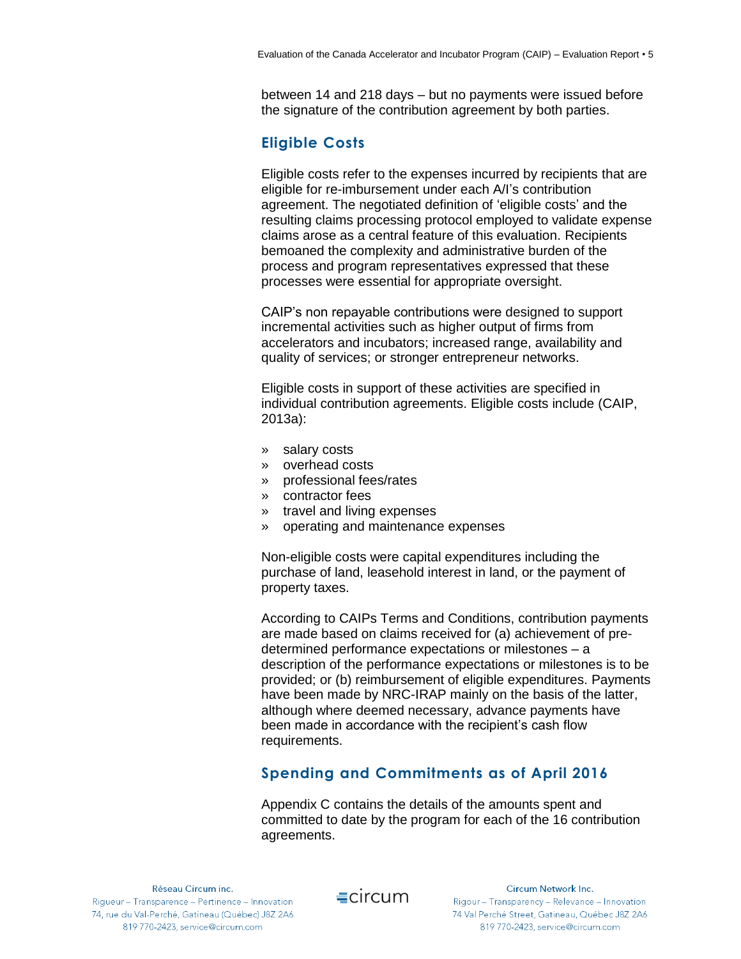between 14 and 218 days – but no payments were issued before the signature of the contribution agreement by both parties.

#### **Eligible Costs**

Eligible costs refer to the expenses incurred by recipients that are eligible for re-imbursement under each A/I's contribution agreement. The negotiated definition of 'eligible costs' and the resulting claims processing protocol employed to validate expense claims arose as a central feature of this evaluation. Recipients bemoaned the complexity and administrative burden of the process and program representatives expressed that these processes were essential for appropriate oversight.

CAIP's non repayable contributions were designed to support incremental activities such as higher output of firms from accelerators and incubators; increased range, availability and quality of services; or stronger entrepreneur networks.

Eligible costs in support of these activities are specified in individual contribution agreements. Eligible costs include (CAIP, 2013a):

- » salary costs
- » overhead costs
- » professional fees/rates
- » contractor fees
- » travel and living expenses
- » operating and maintenance expenses

Non-eligible costs were capital expenditures including the purchase of land, leasehold interest in land, or the payment of property taxes.

According to CAIPs Terms and Conditions, contribution payments are made based on claims received for (a) achievement of predetermined performance expectations or milestones – a description of the performance expectations or milestones is to be provided; or (b) reimbursement of eligible expenditures. Payments have been made by NRC-IRAP mainly on the basis of the latter, although where deemed necessary, advance payments have been made in accordance with the recipient's cash flow requirements.

## **Spending and Commitments as of April 2016**

Appendix C contains the details of the amounts spent and committed to date by the program for each of the 16 contribution agreements.

#### Réseau Circum inc.

Rigueur – Transparence – Pertinence – Innovation 74, rue du Val-Perché, Gatineau (Québec) J8Z 2A6 819 770-2423, service@circum.com

 $=$ circum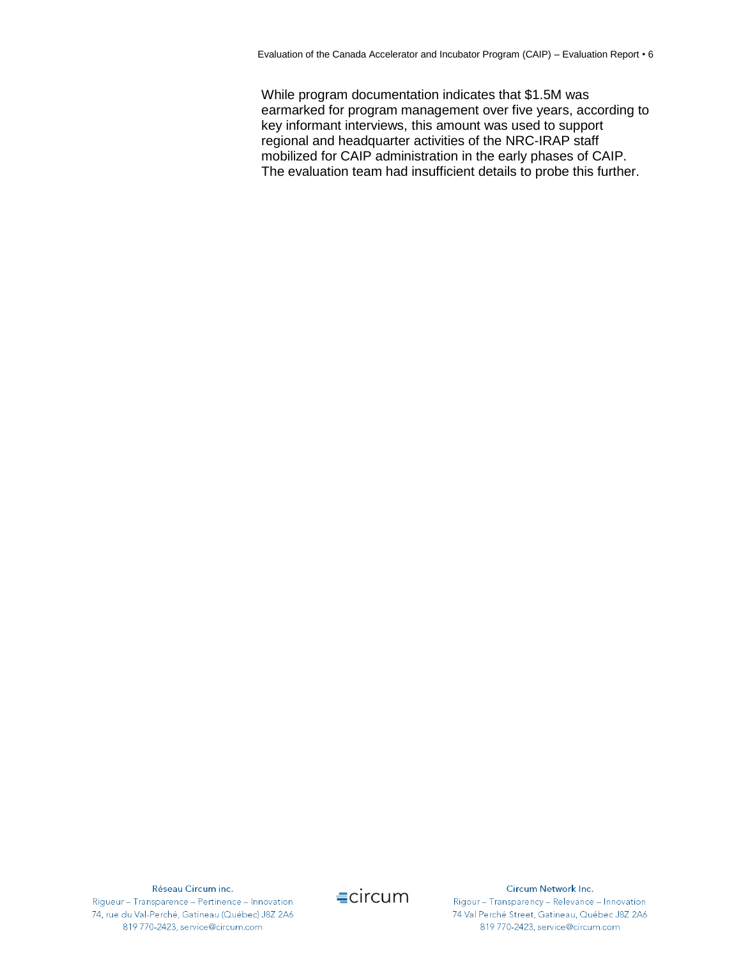While program documentation indicates that \$1.5M was earmarked for program management over five years, according to key informant interviews, this amount was used to support regional and headquarter activities of the NRC-IRAP staff mobilized for CAIP administration in the early phases of CAIP. The evaluation team had insufficient details to probe this further.

#### Réseau Circum inc.

Rigueur - Transparence - Pertinence - Innovation 74, rue du Val-Perché, Gatineau (Québec) J8Z 2A6 819 770-2423, service@circum.com

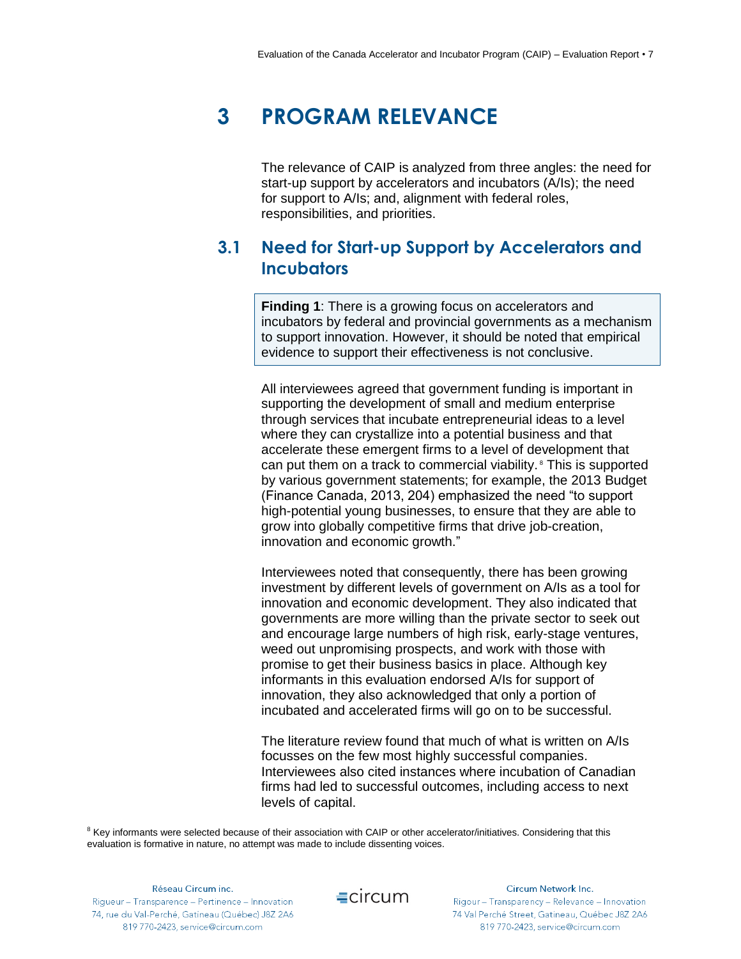# <span id="page-14-0"></span>**3 PROGRAM RELEVANCE**

The relevance of CAIP is analyzed from three angles: the need for start-up support by accelerators and incubators (A/Is); the need for support to A/Is; and, alignment with federal roles, responsibilities, and priorities.

## <span id="page-14-1"></span>**3.1 Need for Start-up Support by Accelerators and Incubators**

**Finding 1**: There is a growing focus on accelerators and incubators by federal and provincial governments as a mechanism to support innovation. However, it should be noted that empirical evidence to support their effectiveness is not conclusive.

All interviewees agreed that government funding is important in supporting the development of small and medium enterprise through services that incubate entrepreneurial ideas to a level where they can crystallize into a potential business and that accelerate these emergent firms to a level of development that can put them on a track to commercial viability. <sup>8</sup> This is supported by various government statements; for example, the 2013 Budget (Finance Canada, 2013, 204) emphasized the need "to support high-potential young businesses, to ensure that they are able to grow into globally competitive firms that drive job-creation, innovation and economic growth."

Interviewees noted that consequently, there has been growing investment by different levels of government on A/Is as a tool for innovation and economic development. They also indicated that governments are more willing than the private sector to seek out and encourage large numbers of high risk, early-stage ventures, weed out unpromising prospects, and work with those with promise to get their business basics in place. Although key informants in this evaluation endorsed A/Is for support of innovation, they also acknowledged that only a portion of incubated and accelerated firms will go on to be successful.

The literature review found that much of what is written on A/Is focusses on the few most highly successful companies. Interviewees also cited instances where incubation of Canadian firms had led to successful outcomes, including access to next levels of capital.

<sup>8</sup> Key informants were selected because of their association with CAIP or other accelerator/initiatives. Considering that this evaluation is formative in nature, no attempt was made to include dissenting voices.

#### Réseau Circum inc.

Rigueur – Transparence – Pertinence – Innovation 74, rue du Val-Perché, Gatineau (Québec) J8Z 2A6 819 770-2423, service@circum.com

 $=$ circum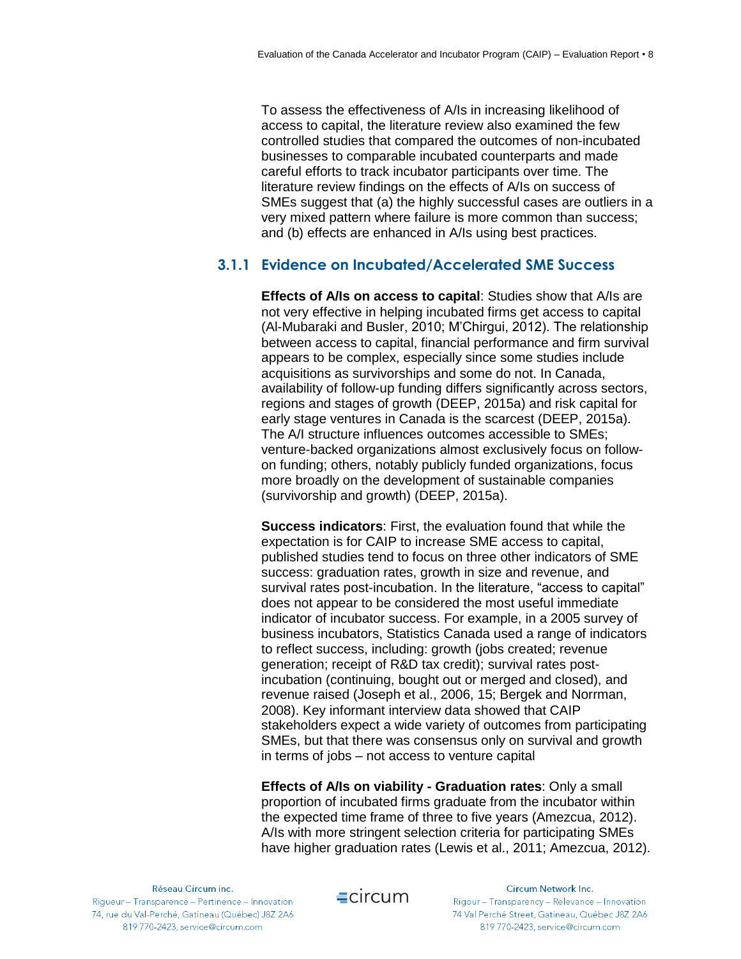To assess the effectiveness of A/Is in increasing likelihood of access to capital, the literature review also examined the few controlled studies that compared the outcomes of non-incubated businesses to comparable incubated counterparts and made careful efforts to track incubator participants over time. The literature review findings on the effects of A/Is on success of SMEs suggest that (a) the highly successful cases are outliers in a very mixed pattern where failure is more common than success; and (b) effects are enhanced in A/Is using best practices.

## **3.1.1 Evidence on Incubated/Accelerated SME Success**

**Effects of A/Is on access to capital**: Studies show that A/Is are not very effective in helping incubated firms get access to capital (Al-Mubaraki and Busler, 2010; M'Chirgui, 2012). The relationship between access to capital, financial performance and firm survival appears to be complex, especially since some studies include acquisitions as survivorships and some do not. In Canada, availability of follow-up funding differs significantly across sectors, regions and stages of growth (DEEP, 2015a) and risk capital for early stage ventures in Canada is the scarcest (DEEP, 2015a). The A/I structure influences outcomes accessible to SMEs; venture-backed organizations almost exclusively focus on followon funding; others, notably publicly funded organizations, focus more broadly on the development of sustainable companies (survivorship and growth) (DEEP, 2015a).

**Success indicators**: First, the evaluation found that while the expectation is for CAIP to increase SME access to capital, published studies tend to focus on three other indicators of SME success: graduation rates, growth in size and revenue, and survival rates post-incubation. In the literature, "access to capital" does not appear to be considered the most useful immediate indicator of incubator success. For example, in a 2005 survey of business incubators, Statistics Canada used a range of indicators to reflect success, including: growth (jobs created; revenue generation; receipt of R&D tax credit); survival rates postincubation (continuing, bought out or merged and closed), and revenue raised (Joseph et al., 2006, 15; Bergek and Norrman, 2008). Key informant interview data showed that CAIP stakeholders expect a wide variety of outcomes from participating SMEs, but that there was consensus only on survival and growth in terms of jobs – not access to venture capital

**Effects of A/Is on viability - Graduation rates**: Only a small proportion of incubated firms graduate from the incubator within the expected time frame of three to five years (Amezcua, 2012). A/Is with more stringent selection criteria for participating SMEs have higher graduation rates (Lewis et al., 2011; Amezcua, 2012).

#### Réseau Circum inc.

Rigueur - Transparence - Pertinence - Innovation 74, rue du Val-Perché, Gatineau (Québec) J8Z 2A6 819 770-2423, service@circum.com

 $=$ circum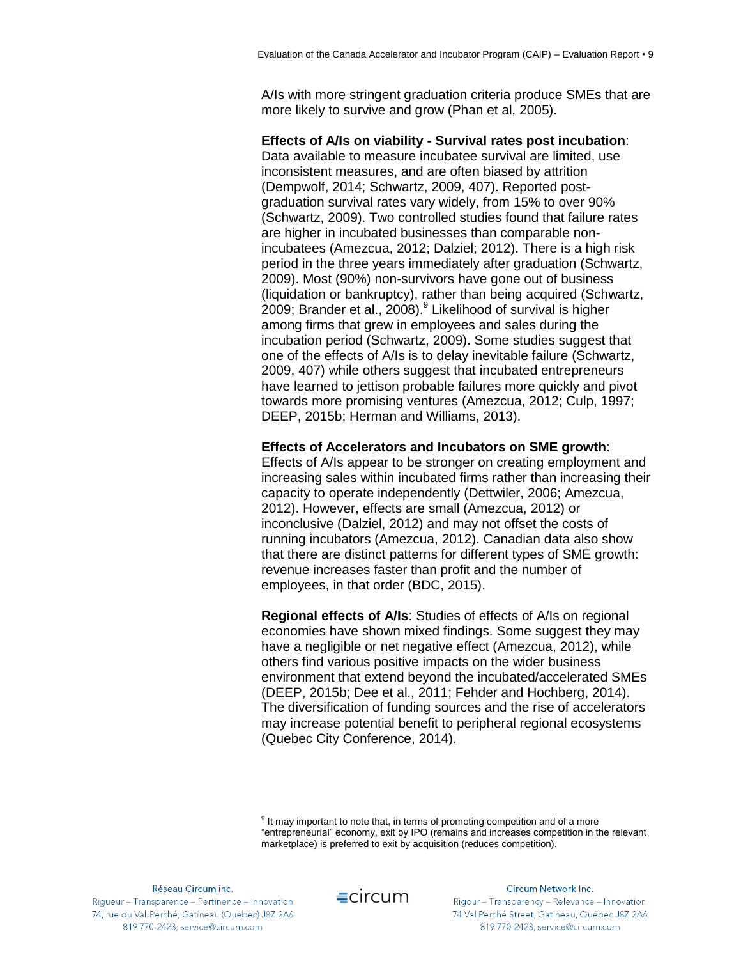A/Is with more stringent graduation criteria produce SMEs that are more likely to survive and grow (Phan et al, 2005).

**Effects of A/Is on viability - Survival rates post incubation**: Data available to measure incubatee survival are limited, use inconsistent measures, and are often biased by attrition (Dempwolf, 2014; Schwartz, 2009, 407). Reported postgraduation survival rates vary widely, from 15% to over 90% (Schwartz, 2009). Two controlled studies found that failure rates are higher in incubated businesses than comparable nonincubatees (Amezcua, 2012; Dalziel; 2012). There is a high risk period in the three years immediately after graduation (Schwartz, 2009). Most (90%) non-survivors have gone out of business (liquidation or bankruptcy), rather than being acquired (Schwartz, 2009; Brander et al., 2008). $^9$  Likelihood of survival is higher among firms that grew in employees and sales during the incubation period (Schwartz, 2009). Some studies suggest that one of the effects of A/Is is to delay inevitable failure (Schwartz, 2009, 407) while others suggest that incubated entrepreneurs have learned to jettison probable failures more quickly and pivot towards more promising ventures (Amezcua, 2012; Culp, 1997; DEEP, 2015b; Herman and Williams, 2013).

#### **Effects of Accelerators and Incubators on SME growth**:

Effects of A/Is appear to be stronger on creating employment and increasing sales within incubated firms rather than increasing their capacity to operate independently (Dettwiler, 2006; Amezcua, 2012). However, effects are small (Amezcua, 2012) or inconclusive (Dalziel, 2012) and may not offset the costs of running incubators (Amezcua, 2012). Canadian data also show that there are distinct patterns for different types of SME growth: revenue increases faster than profit and the number of employees, in that order (BDC, 2015).

**Regional effects of A/Is**: Studies of effects of A/Is on regional economies have shown mixed findings. Some suggest they may have a negligible or net negative effect (Amezcua, 2012), while others find various positive impacts on the wider business environment that extend beyond the incubated/accelerated SMEs (DEEP, 2015b; Dee et al., 2011; Fehder and Hochberg, 2014). The diversification of funding sources and the rise of accelerators may increase potential benefit to peripheral regional ecosystems (Quebec City Conference, 2014).

Réseau Circum inc. Rigueur – Transparence – Pertinence – Innovation 74, rue du Val-Perché, Gatineau (Québec) J8Z 2A6 819 770-2423, service@circum.com

 $=$ circum

<sup>&</sup>lt;sup>9</sup> It may important to note that, in terms of promoting competition and of a more "entrepreneurial" economy, exit by IPO (remains and increases competition in the relevant marketplace) is preferred to exit by acquisition (reduces competition).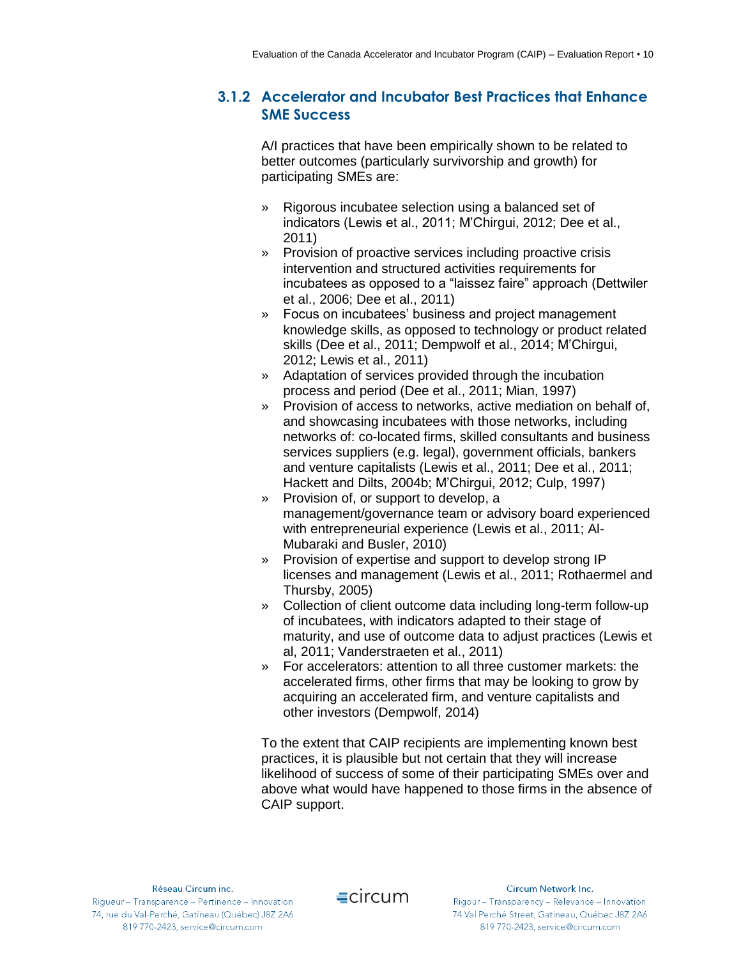## **3.1.2 Accelerator and Incubator Best Practices that Enhance SME Success**

A/I practices that have been empirically shown to be related to better outcomes (particularly survivorship and growth) for participating SMEs are:

- » Rigorous incubatee selection using a balanced set of indicators (Lewis et al., 2011; M'Chirgui, 2012; Dee et al., 2011)
- » Provision of proactive services including proactive crisis intervention and structured activities requirements for incubatees as opposed to a "laissez faire" approach (Dettwiler et al., 2006; Dee et al., 2011)
- » Focus on incubatees' business and project management knowledge skills, as opposed to technology or product related skills (Dee et al., 2011; Dempwolf et al., 2014; M'Chirgui, 2012; Lewis et al., 2011)
- » Adaptation of services provided through the incubation process and period (Dee et al., 2011; Mian, 1997)
- » Provision of access to networks, active mediation on behalf of, and showcasing incubatees with those networks, including networks of: co-located firms, skilled consultants and business services suppliers (e.g. legal), government officials, bankers and venture capitalists (Lewis et al., 2011; Dee et al., 2011; Hackett and Dilts, 2004b; M'Chirgui, 2012; Culp, 1997)
- » Provision of, or support to develop, a management/governance team or advisory board experienced with entrepreneurial experience (Lewis et al., 2011; Al-Mubaraki and Busler, 2010)
- » Provision of expertise and support to develop strong IP licenses and management (Lewis et al., 2011; Rothaermel and Thursby, 2005)
- » Collection of client outcome data including long-term follow-up of incubatees, with indicators adapted to their stage of maturity, and use of outcome data to adjust practices (Lewis et al, 2011; Vanderstraeten et al., 2011)
- » For accelerators: attention to all three customer markets: the accelerated firms, other firms that may be looking to grow by acquiring an accelerated firm, and venture capitalists and other investors (Dempwolf, 2014)

To the extent that CAIP recipients are implementing known best practices, it is plausible but not certain that they will increase likelihood of success of some of their participating SMEs over and above what would have happened to those firms in the absence of CAIP support.

#### Réseau Circum inc.

Rigueur – Transparence – Pertinence – Innovation 74, rue du Val-Perché, Gatineau (Québec) J8Z 2A6 819 770-2423, service@circum.com

 $=$ circum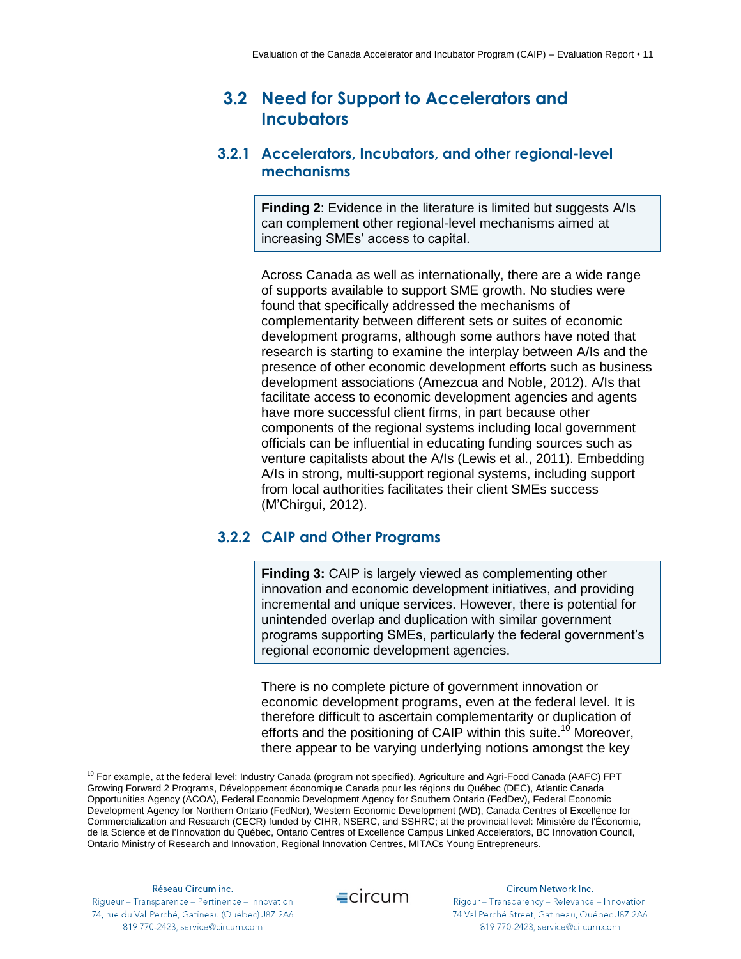## <span id="page-18-0"></span>**3.2 Need for Support to Accelerators and Incubators**

## **3.2.1 Accelerators, Incubators, and other regional-level mechanisms**

**Finding 2:** Evidence in the literature is limited but suggests A/Is can complement other regional-level mechanisms aimed at increasing SMEs' access to capital.

Across Canada as well as internationally, there are a wide range of supports available to support SME growth. No studies were found that specifically addressed the mechanisms of complementarity between different sets or suites of economic development programs, although some authors have noted that research is starting to examine the interplay between A/Is and the presence of other economic development efforts such as business development associations (Amezcua and Noble, 2012). A/Is that facilitate access to economic development agencies and agents have more successful client firms, in part because other components of the regional systems including local government officials can be influential in educating funding sources such as venture capitalists about the A/Is (Lewis et al., 2011). Embedding A/Is in strong, multi-support regional systems, including support from local authorities facilitates their client SMEs success (M'Chirgui, 2012).

## **3.2.2 CAIP and Other Programs**

**Finding 3:** CAIP is largely viewed as complementing other innovation and economic development initiatives, and providing incremental and unique services. However, there is potential for unintended overlap and duplication with similar government programs supporting SMEs, particularly the federal government's regional economic development agencies.

There is no complete picture of government innovation or economic development programs, even at the federal level. It is therefore difficult to ascertain complementarity or duplication of efforts and the positioning of CAIP within this suite.<sup>10</sup> Moreover, there appear to be varying underlying notions amongst the key

<sup>10</sup> For example, at the federal level: Industry Canada (program not specified), Agriculture and Agri-Food Canada (AAFC) FPT Growing Forward 2 Programs, Développement économique Canada pour les régions du Québec (DEC), Atlantic Canada Opportunities Agency (ACOA), Federal Economic Development Agency for Southern Ontario (FedDev), Federal Economic Development Agency for Northern Ontario (FedNor), Western Economic Development (WD), Canada Centres of Excellence for Commercialization and Research (CECR) funded by CIHR, NSERC, and SSHRC; at the provincial level: Ministère de l'Économie, de la Science et de l'Innovation du Québec, Ontario Centres of Excellence Campus Linked Accelerators, BC Innovation Council, Ontario Ministry of Research and Innovation, Regional Innovation Centres, MITACs Young Entrepreneurs.

#### Réseau Circum inc.

Rigueur - Transparence - Pertinence - Innovation 74, rue du Val-Perché, Gatineau (Québec) J8Z 2A6 819 770-2423, service@circum.com

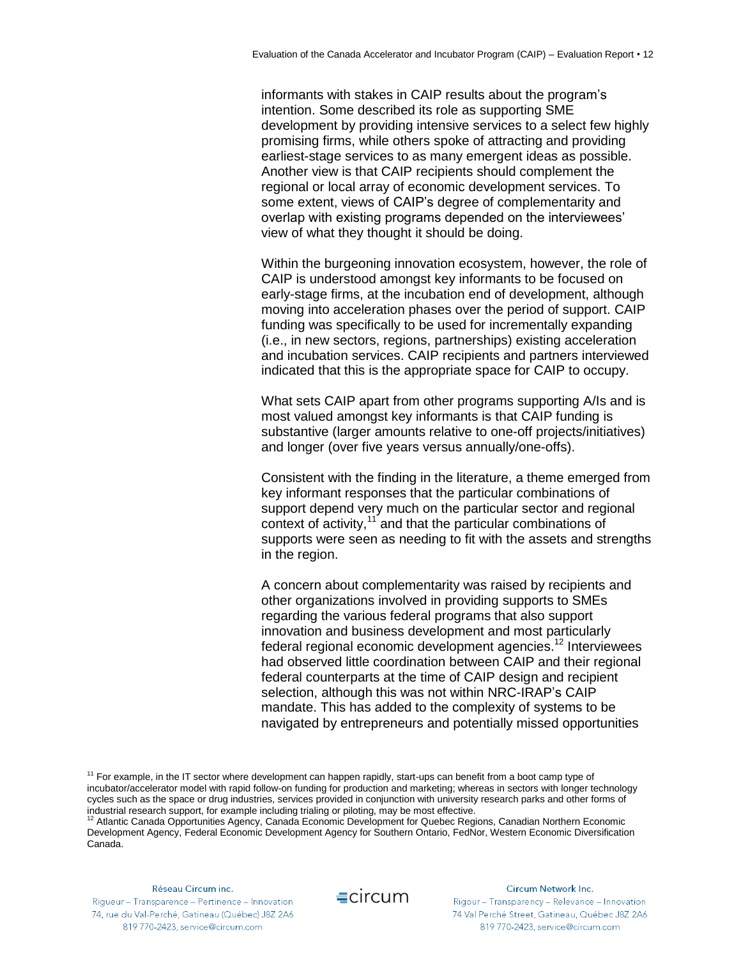informants with stakes in CAIP results about the program's intention. Some described its role as supporting SME development by providing intensive services to a select few highly promising firms, while others spoke of attracting and providing earliest-stage services to as many emergent ideas as possible. Another view is that CAIP recipients should complement the regional or local array of economic development services. To some extent, views of CAIP's degree of complementarity and overlap with existing programs depended on the interviewees' view of what they thought it should be doing.

Within the burgeoning innovation ecosystem, however, the role of CAIP is understood amongst key informants to be focused on early-stage firms, at the incubation end of development, although moving into acceleration phases over the period of support. CAIP funding was specifically to be used for incrementally expanding (i.e., in new sectors, regions, partnerships) existing acceleration and incubation services. CAIP recipients and partners interviewed indicated that this is the appropriate space for CAIP to occupy.

What sets CAIP apart from other programs supporting A/Is and is most valued amongst key informants is that CAIP funding is substantive (larger amounts relative to one-off projects/initiatives) and longer (over five years versus annually/one-offs).

Consistent with the finding in the literature, a theme emerged from key informant responses that the particular combinations of support depend very much on the particular sector and regional context of activity,<sup>11</sup> and that the particular combinations of supports were seen as needing to fit with the assets and strengths in the region.

A concern about complementarity was raised by recipients and other organizations involved in providing supports to SMEs regarding the various federal programs that also support innovation and business development and most particularly federal regional economic development agencies.<sup>12</sup> Interviewees had observed little coordination between CAIP and their regional federal counterparts at the time of CAIP design and recipient selection, although this was not within NRC-IRAP's CAIP mandate. This has added to the complexity of systems to be navigated by entrepreneurs and potentially missed opportunities

<sup>12</sup> Atlantic Canada Opportunities Agency, Canada Economic Development for Quebec Regions, Canadian Northern Economic Development Agency, Federal Economic Development Agency for Southern Ontario, FedNor, Western Economic Diversification Canada.

#### Réseau Circum inc.

Rigueur – Transparence – Pertinence – Innovation 74, rue du Val-Perché, Gatineau (Québec) J8Z 2A6 819 770-2423, service@circum.com

 $=$ circum

 $11$  For example, in the IT sector where development can happen rapidly, start-ups can benefit from a boot camp type of incubator/accelerator model with rapid follow-on funding for production and marketing; whereas in sectors with longer technology cycles such as the space or drug industries, services provided in conjunction with university research parks and other forms of industrial research support, for example including trialing or piloting, may be most effective.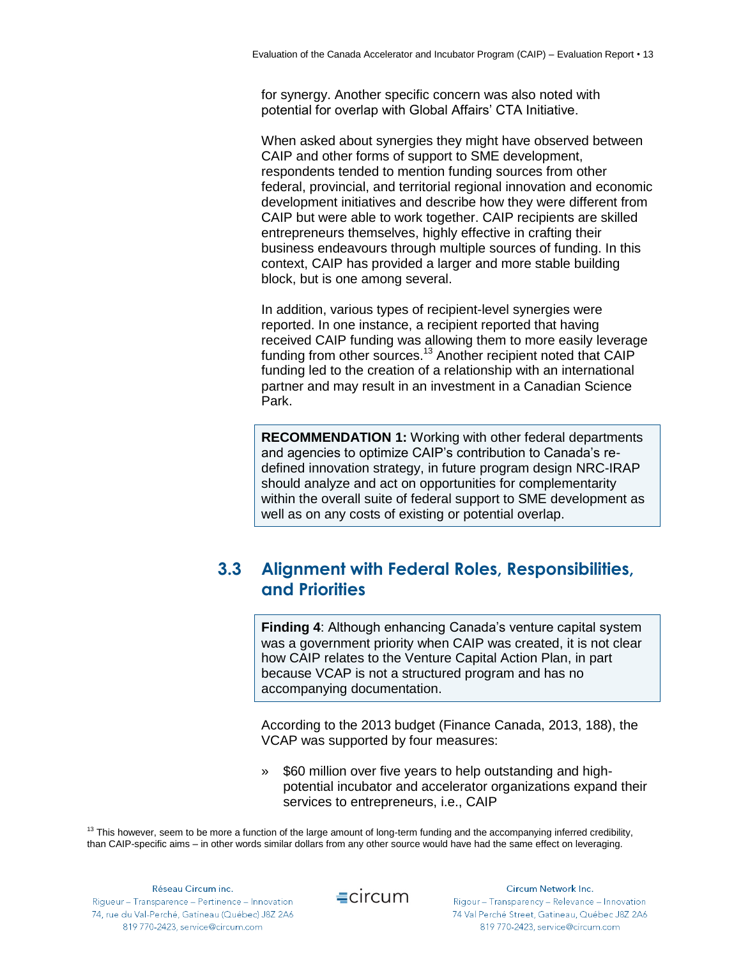for synergy. Another specific concern was also noted with potential for overlap with Global Affairs' CTA Initiative.

When asked about synergies they might have observed between CAIP and other forms of support to SME development, respondents tended to mention funding sources from other federal, provincial, and territorial regional innovation and economic development initiatives and describe how they were different from CAIP but were able to work together. CAIP recipients are skilled entrepreneurs themselves, highly effective in crafting their business endeavours through multiple sources of funding. In this context, CAIP has provided a larger and more stable building block, but is one among several.

In addition, various types of recipient-level synergies were reported. In one instance, a recipient reported that having received CAIP funding was allowing them to more easily leverage funding from other sources.<sup>13</sup> Another recipient noted that CAIP funding led to the creation of a relationship with an international partner and may result in an investment in a Canadian Science Park.

**RECOMMENDATION 1:** Working with other federal departments and agencies to optimize CAIP's contribution to Canada's redefined innovation strategy, in future program design NRC-IRAP should analyze and act on opportunities for complementarity within the overall suite of federal support to SME development as well as on any costs of existing or potential overlap.

## <span id="page-20-0"></span>**3.3 Alignment with Federal Roles, Responsibilities, and Priorities**

**Finding 4**: Although enhancing Canada's venture capital system was a government priority when CAIP was created, it is not clear how CAIP relates to the Venture Capital Action Plan, in part because VCAP is not a structured program and has no accompanying documentation.

According to the 2013 budget (Finance Canada, 2013, 188), the VCAP was supported by four measures:

» \$60 million over five years to help outstanding and highpotential incubator and accelerator organizations expand their services to entrepreneurs, i.e., CAIP

 $13$  This however, seem to be more a function of the large amount of long-term funding and the accompanying inferred credibility, than CAIP-specific aims – in other words similar dollars from any other source would have had the same effect on leveraging.

#### Réseau Circum inc.

Rigueur – Transparence – Pertinence – Innovation 74, rue du Val-Perché, Gatineau (Québec) J8Z 2A6 819 770-2423, service@circum.com

 $=$ circum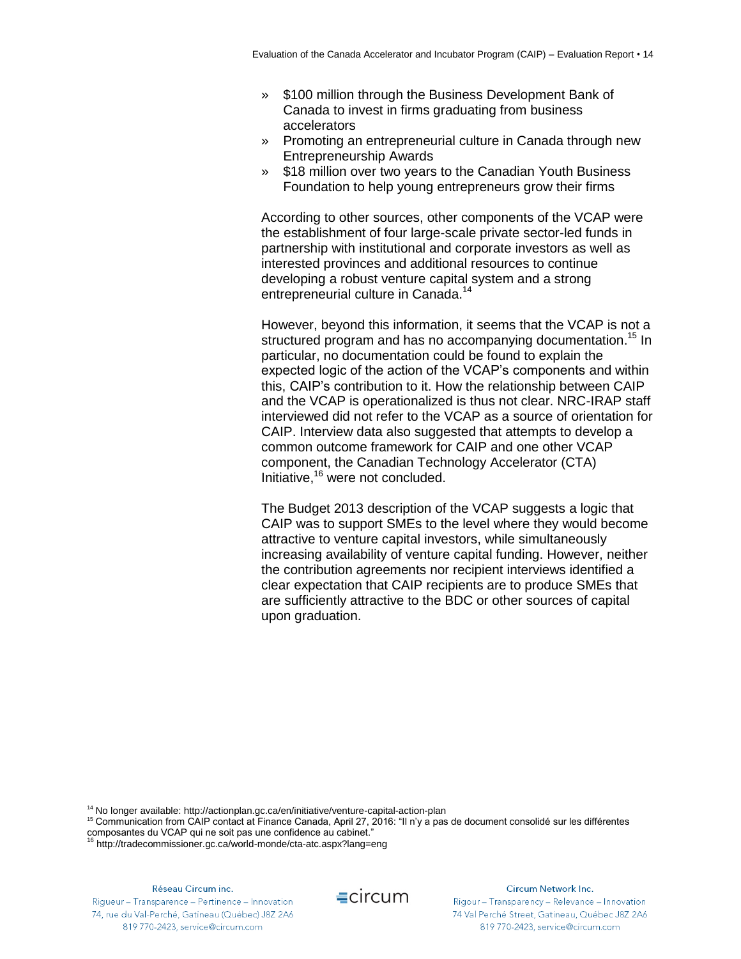- » \$100 million through the Business Development Bank of Canada to invest in firms graduating from business accelerators
- » Promoting an entrepreneurial culture in Canada through new Entrepreneurship Awards
- » \$18 million over two years to the Canadian Youth Business Foundation to help young entrepreneurs grow their firms

According to other sources, other components of the VCAP were the establishment of four large-scale private sector-led funds in partnership with institutional and corporate investors as well as interested provinces and additional resources to continue developing a robust venture capital system and a strong entrepreneurial culture in Canada.<sup>14</sup>

However, beyond this information, it seems that the VCAP is not a structured program and has no accompanying documentation.<sup>15</sup> In particular, no documentation could be found to explain the expected logic of the action of the VCAP's components and within this, CAIP's contribution to it. How the relationship between CAIP and the VCAP is operationalized is thus not clear. NRC-IRAP staff interviewed did not refer to the VCAP as a source of orientation for CAIP. Interview data also suggested that attempts to develop a common outcome framework for CAIP and one other VCAP component, the Canadian Technology Accelerator (CTA) Initiative,<sup>16</sup> were not concluded.

The Budget 2013 description of the VCAP suggests a logic that CAIP was to support SMEs to the level where they would become attractive to venture capital investors, while simultaneously increasing availability of venture capital funding. However, neither the contribution agreements nor recipient interviews identified a clear expectation that CAIP recipients are to produce SMEs that are sufficiently attractive to the BDC or other sources of capital upon graduation.

<sup>14</sup> No longer available: http://actionplan.gc.ca/en/initiative/venture-capital-action-plan

<sup>15</sup> Communication from CAIP contact at Finance Canada, April 27, 2016: "Il n'y a pas de document consolidé sur les différentes

composantes du VCAP qui ne soit pas une confidence au cabinet." <sup>16</sup> http://tradecommissioner.gc.ca/world-monde/cta-atc.aspx?lang=eng

Réseau Circum inc. Rigueur – Transparence – Pertinence – Innovation 74, rue du Val-Perché, Gatineau (Québec) J8Z 2A6 819 770-2423, service@circum.com

 $=$ circum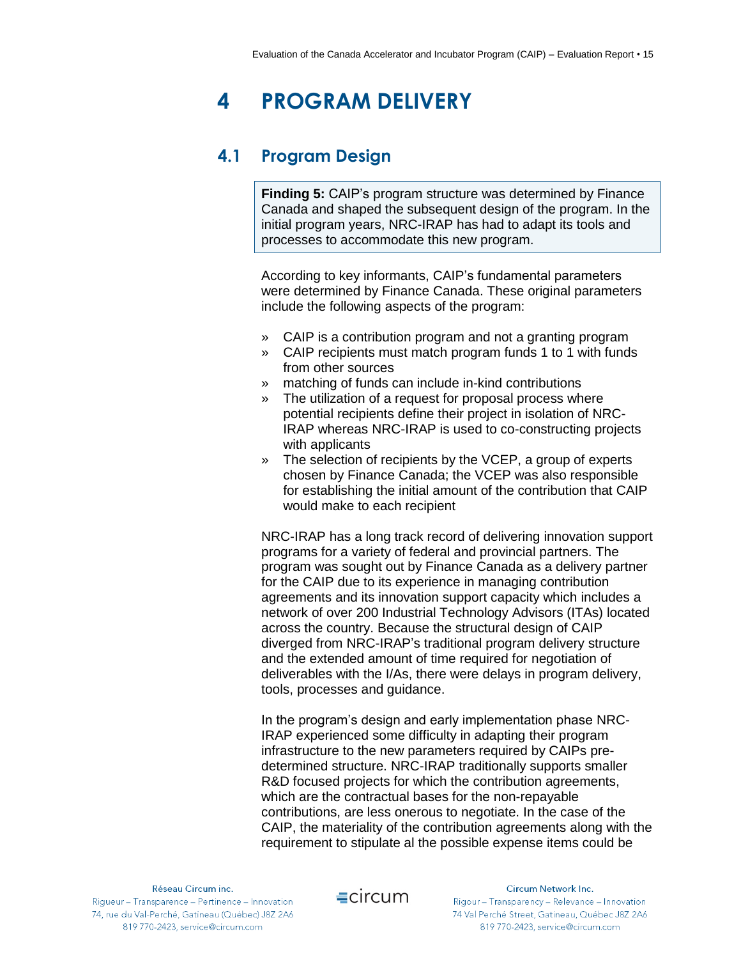# <span id="page-22-0"></span>**4 PROGRAM DELIVERY**

## <span id="page-22-1"></span>**4.1 Program Design**

**Finding 5:** CAIP's program structure was determined by Finance Canada and shaped the subsequent design of the program. In the initial program years, NRC-IRAP has had to adapt its tools and processes to accommodate this new program.

According to key informants, CAIP's fundamental parameters were determined by Finance Canada. These original parameters include the following aspects of the program:

- » CAIP is a contribution program and not a granting program
- » CAIP recipients must match program funds 1 to 1 with funds from other sources
- » matching of funds can include in-kind contributions
- » The utilization of a request for proposal process where potential recipients define their project in isolation of NRC-IRAP whereas NRC-IRAP is used to co-constructing projects with applicants
- » The selection of recipients by the VCEP, a group of experts chosen by Finance Canada; the VCEP was also responsible for establishing the initial amount of the contribution that CAIP would make to each recipient

NRC-IRAP has a long track record of delivering innovation support programs for a variety of federal and provincial partners. The program was sought out by Finance Canada as a delivery partner for the CAIP due to its experience in managing contribution agreements and its innovation support capacity which includes a network of over 200 Industrial Technology Advisors (ITAs) located across the country. Because the structural design of CAIP diverged from NRC-IRAP's traditional program delivery structure and the extended amount of time required for negotiation of deliverables with the I/As, there were delays in program delivery, tools, processes and guidance.

In the program's design and early implementation phase NRC-IRAP experienced some difficulty in adapting their program infrastructure to the new parameters required by CAIPs predetermined structure. NRC-IRAP traditionally supports smaller R&D focused projects for which the contribution agreements, which are the contractual bases for the non-repayable contributions, are less onerous to negotiate. In the case of the CAIP, the materiality of the contribution agreements along with the requirement to stipulate al the possible expense items could be

#### Réseau Circum inc.

Rigueur – Transparence – Pertinence – Innovation 74, rue du Val-Perché, Gatineau (Québec) J8Z 2A6 819 770-2423, service@circum.com

 $=$ circum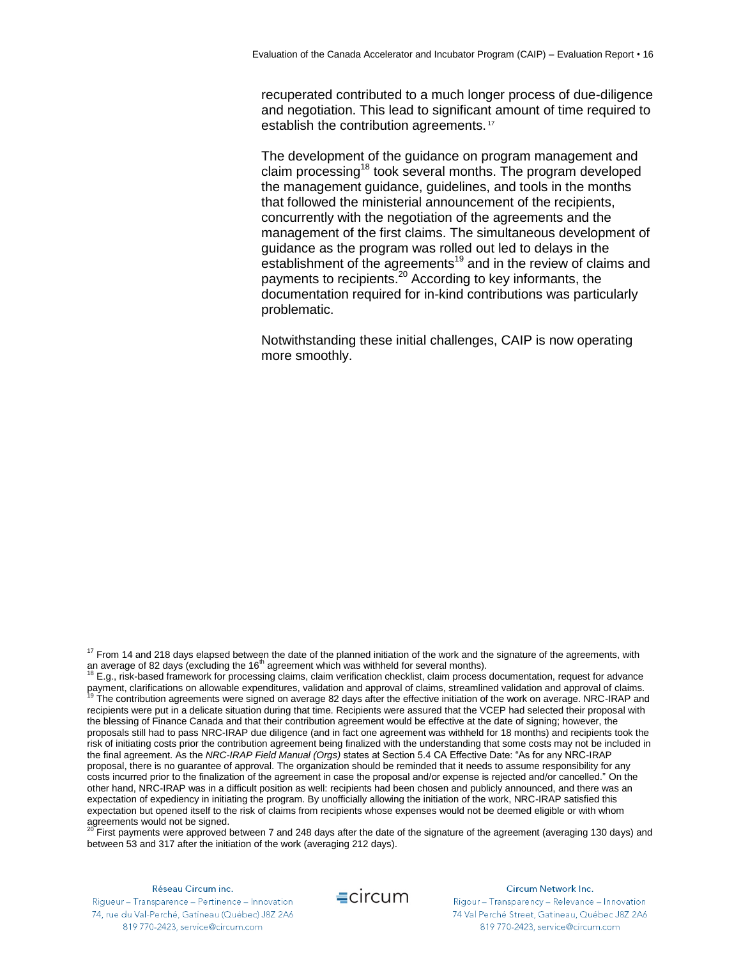recuperated contributed to a much longer process of due-diligence and negotiation. This lead to significant amount of time required to establish the contribution agreements.<sup>17</sup>

The development of the guidance on program management and claim processing<sup>18</sup> took several months. The program developed the management guidance, guidelines, and tools in the months that followed the ministerial announcement of the recipients, concurrently with the negotiation of the agreements and the management of the first claims. The simultaneous development of guidance as the program was rolled out led to delays in the establishment of the agreements<sup>19</sup> and in the review of claims and payments to recipients.<sup>20</sup> According to key informants, the documentation required for in-kind contributions was particularly problematic.

Notwithstanding these initial challenges, CAIP is now operating more smoothly.

.<br>First payments were approved between 7 and 248 days after the date of the signature of the agreement (averaging 130 days) and between 53 and 317 after the initiation of the work (averaging 212 days).

Réseau Circum inc. Rigueur – Transparence – Pertinence – Innovation 74, rue du Val-Perché, Gatineau (Québec) J8Z 2A6 819 770-2423, service@circum.com

 $=$ circum

 $17$  From 14 and 218 days elapsed between the date of the planned initiation of the work and the signature of the agreements, with an average of 82 days (excluding the 16<sup>th</sup> agreement which was withheld for several months).

<sup>&</sup>lt;sup>18</sup> E.g., risk-based framework for processing claims, claim verification checklist, claim process documentation, request for advance payment, clarifications on allowable expenditures, validation and approval of claims, streamlined validation and approval of claims. The contribution agreements were signed on average 82 days after the effective initiation of the work on average. NRC-IRAP and recipients were put in a delicate situation during that time. Recipients were assured that the VCEP had selected their proposal with the blessing of Finance Canada and that their contribution agreement would be effective at the date of signing; however, the proposals still had to pass NRC-IRAP due diligence (and in fact one agreement was withheld for 18 months) and recipients took the risk of initiating costs prior the contribution agreement being finalized with the understanding that some costs may not be included in the final agreement. As the *NRC-IRAP Field Manual (Orgs)* states at Section 5.4 CA Effective Date: "As for any NRC-IRAP proposal, there is no guarantee of approval. The organization should be reminded that it needs to assume responsibility for any costs incurred prior to the finalization of the agreement in case the proposal and/or expense is rejected and/or cancelled." On the other hand, NRC-IRAP was in a difficult position as well: recipients had been chosen and publicly announced, and there was an expectation of expediency in initiating the program. By unofficially allowing the initiation of the work, NRC-IRAP satisfied this expectation but opened itself to the risk of claims from recipients whose expenses would not be deemed eligible or with whom agreements would not be signed.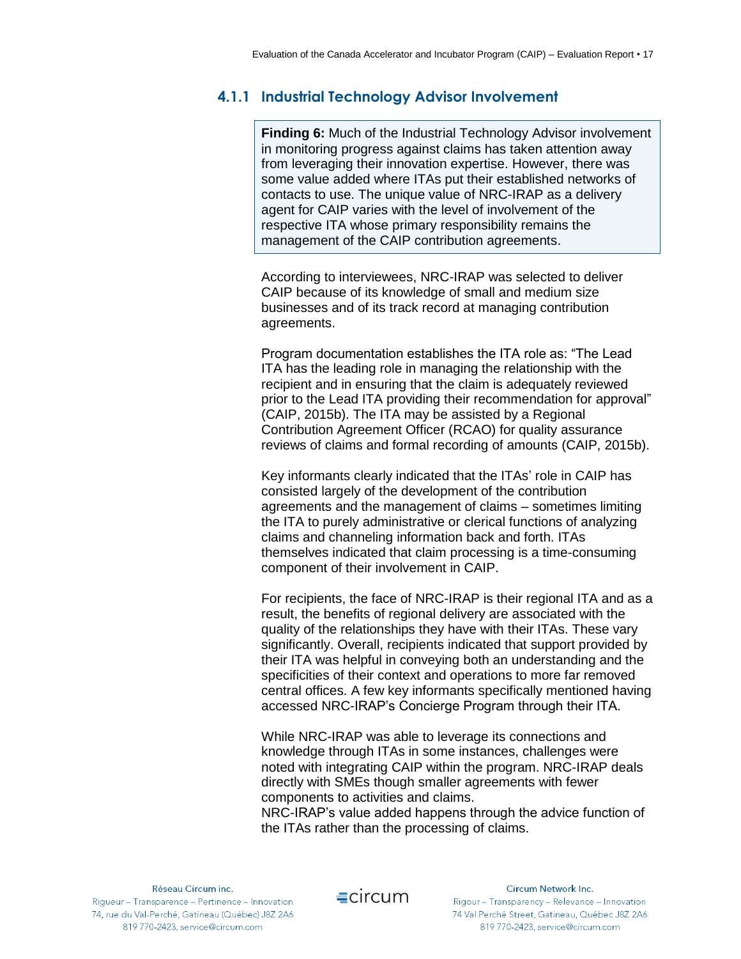## **4.1.1 Industrial Technology Advisor Involvement**

**Finding 6:** Much of the Industrial Technology Advisor involvement in monitoring progress against claims has taken attention away from leveraging their innovation expertise. However, there was some value added where ITAs put their established networks of contacts to use. The unique value of NRC-IRAP as a delivery agent for CAIP varies with the level of involvement of the respective ITA whose primary responsibility remains the management of the CAIP contribution agreements.

According to interviewees, NRC-IRAP was selected to deliver CAIP because of its knowledge of small and medium size businesses and of its track record at managing contribution agreements.

Program documentation establishes the ITA role as: "The Lead ITA has the leading role in managing the relationship with the recipient and in ensuring that the claim is adequately reviewed prior to the Lead ITA providing their recommendation for approval" (CAIP, 2015b). The ITA may be assisted by a Regional Contribution Agreement Officer (RCAO) for quality assurance reviews of claims and formal recording of amounts (CAIP, 2015b).

Key informants clearly indicated that the ITAs' role in CAIP has consisted largely of the development of the contribution agreements and the management of claims – sometimes limiting the ITA to purely administrative or clerical functions of analyzing claims and channeling information back and forth. ITAs themselves indicated that claim processing is a time-consuming component of their involvement in CAIP.

For recipients, the face of NRC-IRAP is their regional ITA and as a result, the benefits of regional delivery are associated with the quality of the relationships they have with their ITAs. These vary significantly. Overall, recipients indicated that support provided by their ITA was helpful in conveying both an understanding and the specificities of their context and operations to more far removed central offices. A few key informants specifically mentioned having accessed NRC-IRAP's Concierge Program through their ITA.

While NRC-IRAP was able to leverage its connections and knowledge through ITAs in some instances, challenges were noted with integrating CAIP within the program. NRC-IRAP deals directly with SMEs though smaller agreements with fewer components to activities and claims.

NRC-IRAP's value added happens through the advice function of the ITAs rather than the processing of claims.

#### Réseau Circum inc.

Rigueur – Transparence – Pertinence – Innovation 74, rue du Val-Perché, Gatineau (Québec) J8Z 2A6 819 770-2423, service@circum.com

 $=$ circum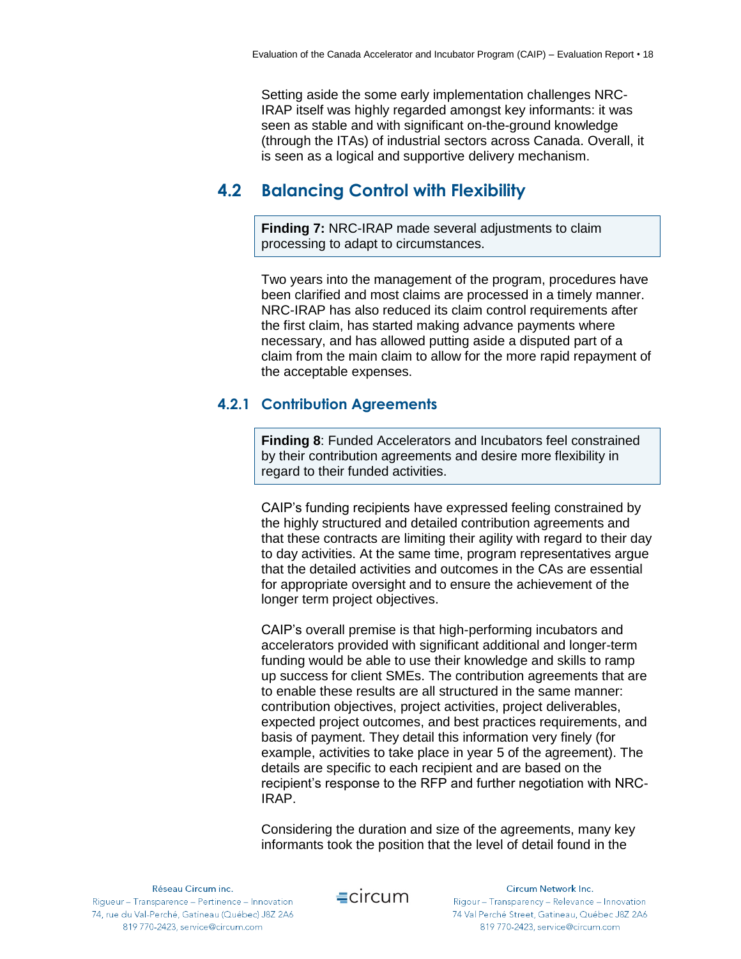Setting aside the some early implementation challenges NRC-IRAP itself was highly regarded amongst key informants: it was seen as stable and with significant on-the-ground knowledge (through the ITAs) of industrial sectors across Canada. Overall, it is seen as a logical and supportive delivery mechanism.

## <span id="page-25-0"></span>**4.2 Balancing Control with Flexibility**

**Finding 7:** NRC-IRAP made several adjustments to claim processing to adapt to circumstances.

Two years into the management of the program, procedures have been clarified and most claims are processed in a timely manner. NRC-IRAP has also reduced its claim control requirements after the first claim, has started making advance payments where necessary, and has allowed putting aside a disputed part of a claim from the main claim to allow for the more rapid repayment of the acceptable expenses.

## **4.2.1 Contribution Agreements**

**Finding 8**: Funded Accelerators and Incubators feel constrained by their contribution agreements and desire more flexibility in regard to their funded activities.

CAIP's funding recipients have expressed feeling constrained by the highly structured and detailed contribution agreements and that these contracts are limiting their agility with regard to their day to day activities. At the same time, program representatives argue that the detailed activities and outcomes in the CAs are essential for appropriate oversight and to ensure the achievement of the longer term project objectives.

CAIP's overall premise is that high-performing incubators and accelerators provided with significant additional and longer-term funding would be able to use their knowledge and skills to ramp up success for client SMEs. The contribution agreements that are to enable these results are all structured in the same manner: contribution objectives, project activities, project deliverables, expected project outcomes, and best practices requirements, and basis of payment. They detail this information very finely (for example, activities to take place in year 5 of the agreement). The details are specific to each recipient and are based on the recipient's response to the RFP and further negotiation with NRC-IRAP.

Considering the duration and size of the agreements, many key informants took the position that the level of detail found in the

#### Réseau Circum inc.

Rigueur – Transparence – Pertinence – Innovation 74, rue du Val-Perché, Gatineau (Québec) J8Z 2A6 819 770-2423, service@circum.com

 $=$ circum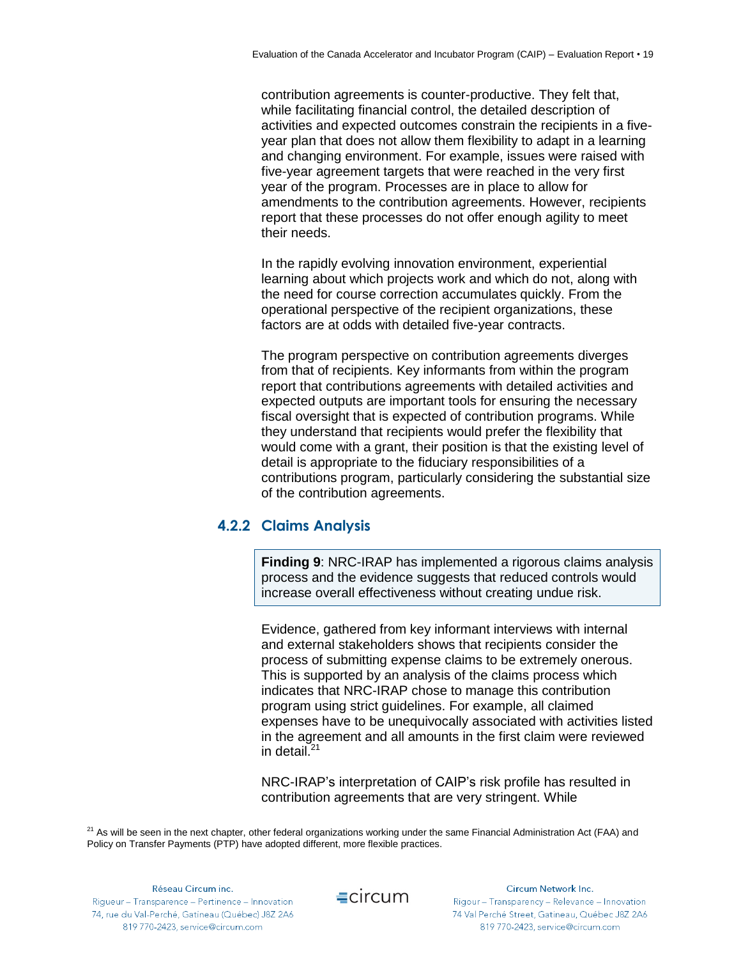contribution agreements is counter-productive. They felt that, while facilitating financial control, the detailed description of activities and expected outcomes constrain the recipients in a fiveyear plan that does not allow them flexibility to adapt in a learning and changing environment. For example, issues were raised with five-year agreement targets that were reached in the very first year of the program. Processes are in place to allow for amendments to the contribution agreements. However, recipients report that these processes do not offer enough agility to meet their needs.

In the rapidly evolving innovation environment, experiential learning about which projects work and which do not, along with the need for course correction accumulates quickly. From the operational perspective of the recipient organizations, these factors are at odds with detailed five-year contracts.

The program perspective on contribution agreements diverges from that of recipients. Key informants from within the program report that contributions agreements with detailed activities and expected outputs are important tools for ensuring the necessary fiscal oversight that is expected of contribution programs. While they understand that recipients would prefer the flexibility that would come with a grant, their position is that the existing level of detail is appropriate to the fiduciary responsibilities of a contributions program, particularly considering the substantial size of the contribution agreements.

## **4.2.2 Claims Analysis**

**Finding 9**: NRC-IRAP has implemented a rigorous claims analysis process and the evidence suggests that reduced controls would increase overall effectiveness without creating undue risk.

Evidence, gathered from key informant interviews with internal and external stakeholders shows that recipients consider the process of submitting expense claims to be extremely onerous. This is supported by an analysis of the claims process which indicates that NRC-IRAP chose to manage this contribution program using strict guidelines. For example, all claimed expenses have to be unequivocally associated with activities listed in the agreement and all amounts in the first claim were reviewed in detail. $^{21}$ 

NRC-IRAP's interpretation of CAIP's risk profile has resulted in contribution agreements that are very stringent. While

<sup>21</sup> As will be seen in the next chapter, other federal organizations working under the same Financial Administration Act (FAA) and Policy on Transfer Payments (PTP) have adopted different, more flexible practices.

#### Réseau Circum inc.

Rigueur – Transparence – Pertinence – Innovation 74, rue du Val-Perché, Gatineau (Québec) J8Z 2A6 819 770-2423, service@circum.com

 $=$ circum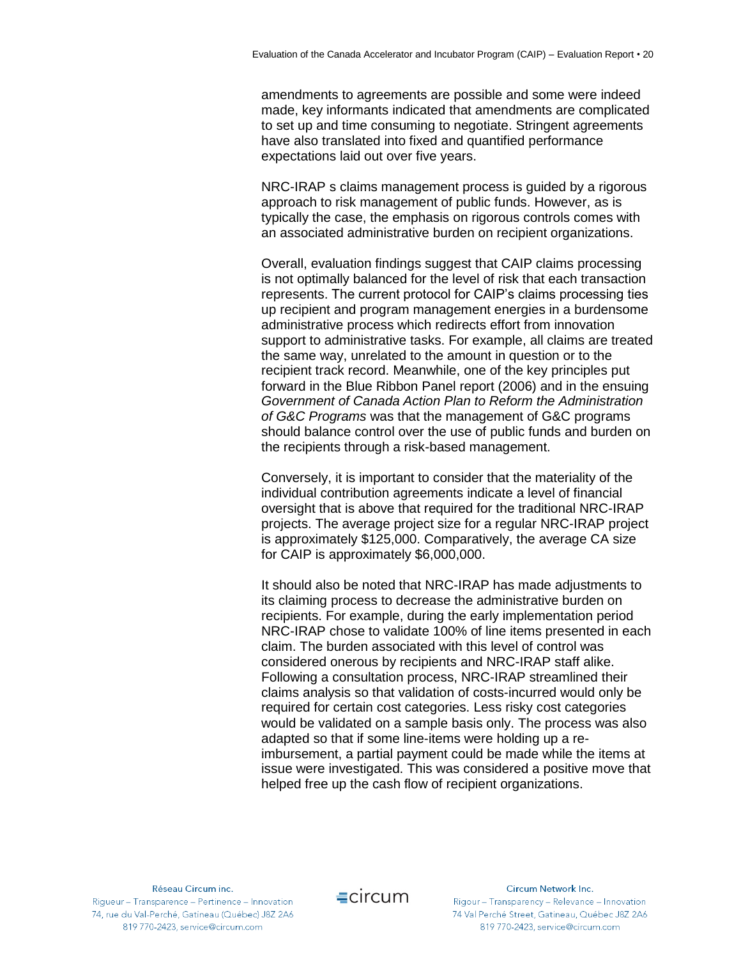amendments to agreements are possible and some were indeed made, key informants indicated that amendments are complicated to set up and time consuming to negotiate. Stringent agreements have also translated into fixed and quantified performance expectations laid out over five years.

NRC-IRAP s claims management process is guided by a rigorous approach to risk management of public funds. However, as is typically the case, the emphasis on rigorous controls comes with an associated administrative burden on recipient organizations.

Overall, evaluation findings suggest that CAIP claims processing is not optimally balanced for the level of risk that each transaction represents. The current protocol for CAIP's claims processing ties up recipient and program management energies in a burdensome administrative process which redirects effort from innovation support to administrative tasks. For example, all claims are treated the same way, unrelated to the amount in question or to the recipient track record. Meanwhile, one of the key principles put forward in the Blue Ribbon Panel report (2006) and in the ensuing *Government of Canada Action Plan to Reform the Administration of G&C Programs* was that the management of G&C programs should balance control over the use of public funds and burden on the recipients through a risk-based management.

Conversely, it is important to consider that the materiality of the individual contribution agreements indicate a level of financial oversight that is above that required for the traditional NRC-IRAP projects. The average project size for a regular NRC-IRAP project is approximately \$125,000. Comparatively, the average CA size for CAIP is approximately \$6,000,000.

It should also be noted that NRC-IRAP has made adjustments to its claiming process to decrease the administrative burden on recipients. For example, during the early implementation period NRC-IRAP chose to validate 100% of line items presented in each claim. The burden associated with this level of control was considered onerous by recipients and NRC-IRAP staff alike. Following a consultation process, NRC-IRAP streamlined their claims analysis so that validation of costs-incurred would only be required for certain cost categories. Less risky cost categories would be validated on a sample basis only. The process was also adapted so that if some line-items were holding up a reimbursement, a partial payment could be made while the items at issue were investigated. This was considered a positive move that helped free up the cash flow of recipient organizations.

#### Réseau Circum inc.

Rigueur - Transparence - Pertinence - Innovation 74, rue du Val-Perché, Gatineau (Québec) J8Z 2A6 819 770-2423, service@circum.com

 $=$ circum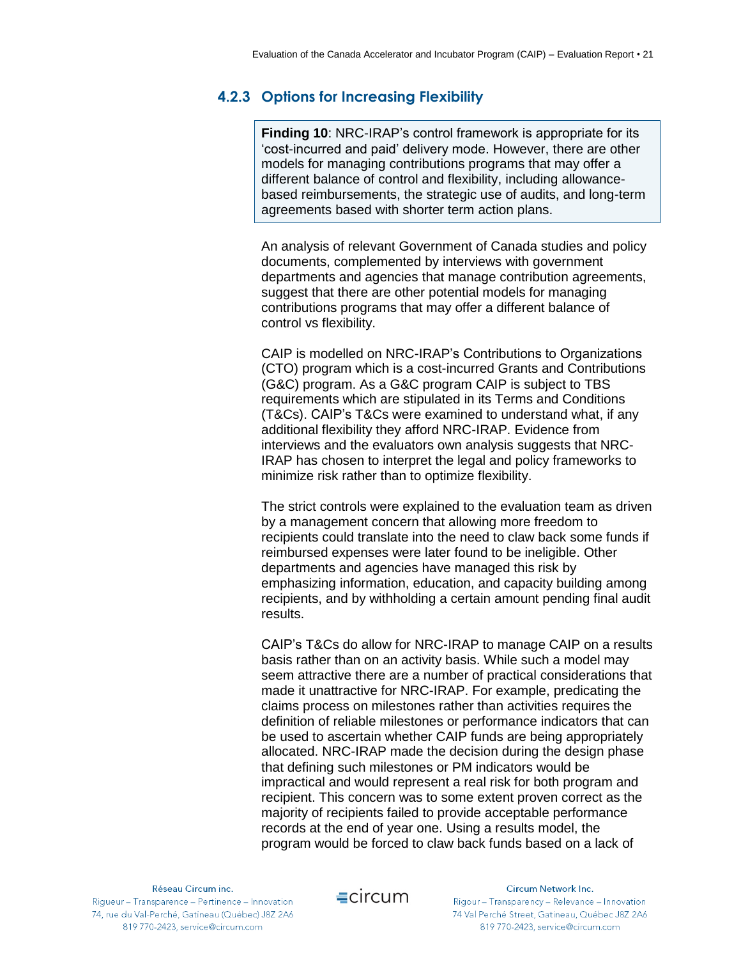## **4.2.3 Options for Increasing Flexibility**

**Finding 10**: NRC-IRAP's control framework is appropriate for its 'cost-incurred and paid' delivery mode. However, there are other models for managing contributions programs that may offer a different balance of control and flexibility, including allowancebased reimbursements, the strategic use of audits, and long-term agreements based with shorter term action plans.

An analysis of relevant Government of Canada studies and policy documents, complemented by interviews with government departments and agencies that manage contribution agreements, suggest that there are other potential models for managing contributions programs that may offer a different balance of control vs flexibility.

CAIP is modelled on NRC-IRAP's Contributions to Organizations (CTO) program which is a cost-incurred Grants and Contributions (G&C) program. As a G&C program CAIP is subject to TBS requirements which are stipulated in its Terms and Conditions (T&Cs). CAIP's T&Cs were examined to understand what, if any additional flexibility they afford NRC-IRAP. Evidence from interviews and the evaluators own analysis suggests that NRC-IRAP has chosen to interpret the legal and policy frameworks to minimize risk rather than to optimize flexibility.

The strict controls were explained to the evaluation team as driven by a management concern that allowing more freedom to recipients could translate into the need to claw back some funds if reimbursed expenses were later found to be ineligible. Other departments and agencies have managed this risk by emphasizing information, education, and capacity building among recipients, and by withholding a certain amount pending final audit results.

CAIP's T&Cs do allow for NRC-IRAP to manage CAIP on a results basis rather than on an activity basis. While such a model may seem attractive there are a number of practical considerations that made it unattractive for NRC-IRAP. For example, predicating the claims process on milestones rather than activities requires the definition of reliable milestones or performance indicators that can be used to ascertain whether CAIP funds are being appropriately allocated. NRC-IRAP made the decision during the design phase that defining such milestones or PM indicators would be impractical and would represent a real risk for both program and recipient. This concern was to some extent proven correct as the majority of recipients failed to provide acceptable performance records at the end of year one. Using a results model, the program would be forced to claw back funds based on a lack of

#### Réseau Circum inc.

Rigueur – Transparence – Pertinence – Innovation 74, rue du Val-Perché, Gatineau (Québec) J8Z 2A6 819 770-2423, service@circum.com

 $=$ circum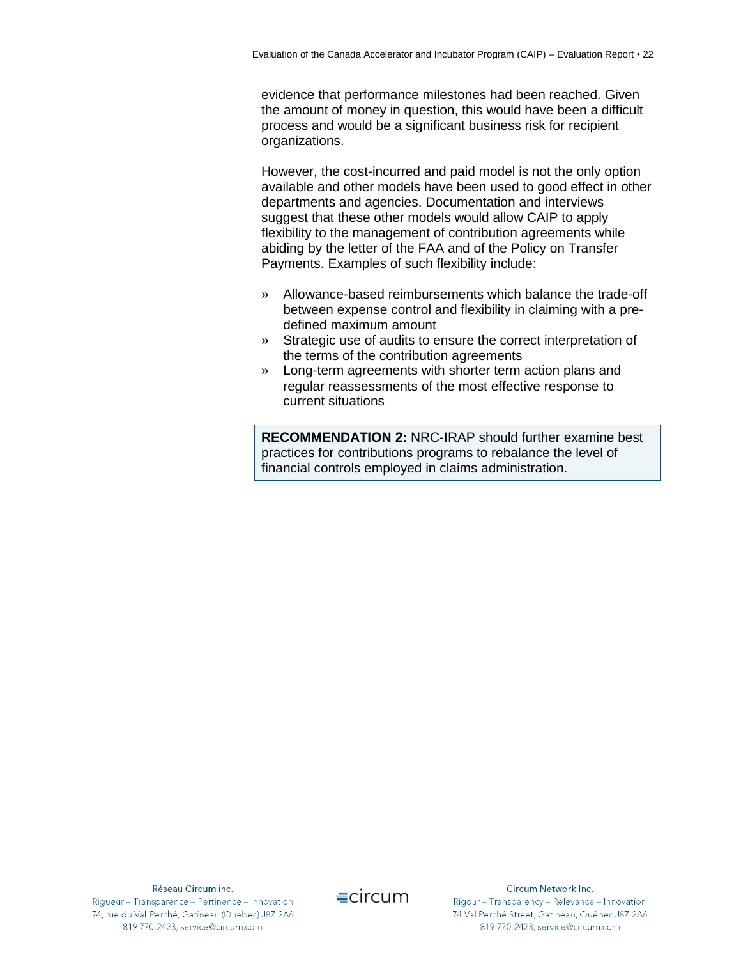evidence that performance milestones had been reached. Given the amount of money in question, this would have been a difficult process and would be a significant business risk for recipient organizations.

However, the cost-incurred and paid model is not the only option available and other models have been used to good effect in other departments and agencies. Documentation and interviews suggest that these other models would allow CAIP to apply flexibility to the management of contribution agreements while abiding by the letter of the FAA and of the Policy on Transfer Payments. Examples of such flexibility include:

- » Allowance-based reimbursements which balance the trade-off between expense control and flexibility in claiming with a predefined maximum amount
- » Strategic use of audits to ensure the correct interpretation of the terms of the contribution agreements
- » Long-term agreements with shorter term action plans and regular reassessments of the most effective response to current situations

**RECOMMENDATION 2:** NRC-IRAP should further examine best practices for contributions programs to rebalance the level of financial controls employed in claims administration.

Réseau Circum inc.

Rigueur – Transparence – Pertinence – Innovation 74, rue du Val-Perché, Gatineau (Québec) J8Z 2A6 819 770-2423, service@circum.com

 $=$ circum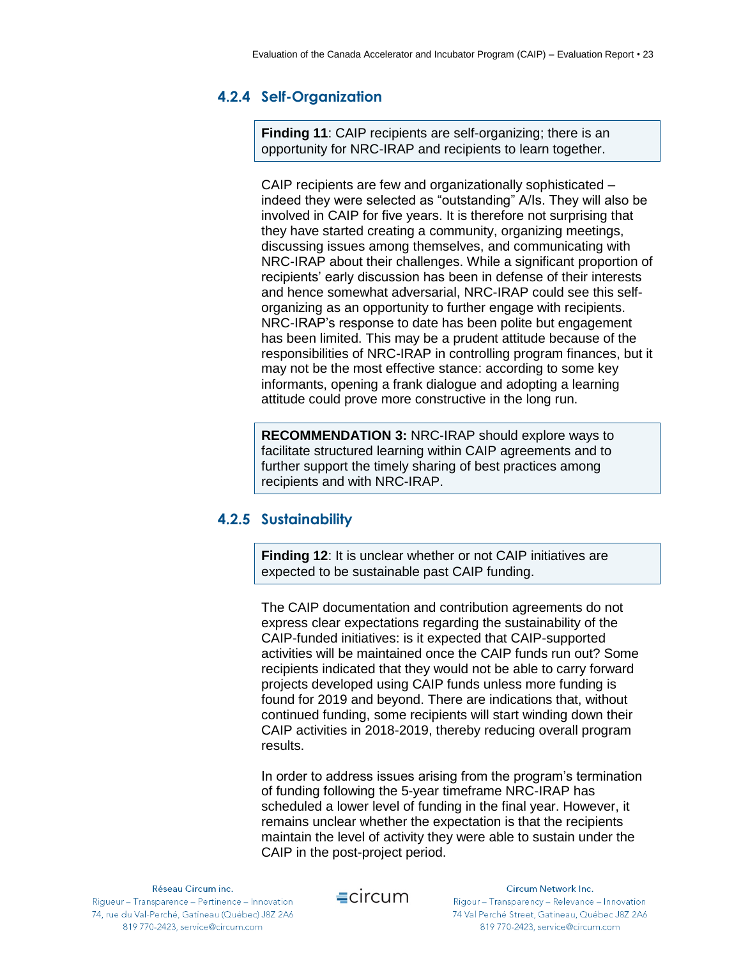## **4.2.4 Self-Organization**

**Finding 11**: CAIP recipients are self-organizing; there is an opportunity for NRC-IRAP and recipients to learn together.

CAIP recipients are few and organizationally sophisticated – indeed they were selected as "outstanding" A/Is. They will also be involved in CAIP for five years. It is therefore not surprising that they have started creating a community, organizing meetings, discussing issues among themselves, and communicating with NRC-IRAP about their challenges. While a significant proportion of recipients' early discussion has been in defense of their interests and hence somewhat adversarial, NRC-IRAP could see this selforganizing as an opportunity to further engage with recipients. NRC-IRAP's response to date has been polite but engagement has been limited. This may be a prudent attitude because of the responsibilities of NRC-IRAP in controlling program finances, but it may not be the most effective stance: according to some key informants, opening a frank dialogue and adopting a learning attitude could prove more constructive in the long run.

**RECOMMENDATION 3:** NRC-IRAP should explore ways to facilitate structured learning within CAIP agreements and to further support the timely sharing of best practices among recipients and with NRC-IRAP.

## **4.2.5 Sustainability**

**Finding 12**: It is unclear whether or not CAIP initiatives are expected to be sustainable past CAIP funding.

The CAIP documentation and contribution agreements do not express clear expectations regarding the sustainability of the CAIP-funded initiatives: is it expected that CAIP-supported activities will be maintained once the CAIP funds run out? Some recipients indicated that they would not be able to carry forward projects developed using CAIP funds unless more funding is found for 2019 and beyond. There are indications that, without continued funding, some recipients will start winding down their CAIP activities in 2018-2019, thereby reducing overall program results.

In order to address issues arising from the program's termination of funding following the 5-year timeframe NRC-IRAP has scheduled a lower level of funding in the final year. However, it remains unclear whether the expectation is that the recipients maintain the level of activity they were able to sustain under the CAIP in the post-project period.

#### Réseau Circum inc.

Rigueur - Transparence - Pertinence - Innovation 74, rue du Val-Perché, Gatineau (Québec) J8Z 2A6 819 770-2423, service@circum.com

 $=$ circum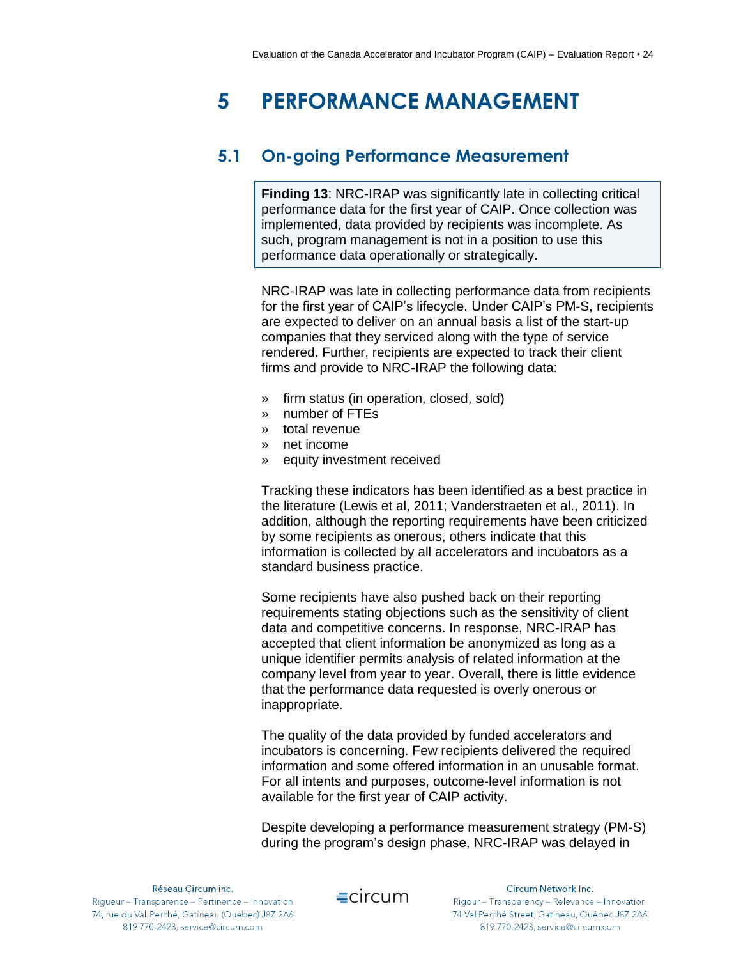## <span id="page-31-0"></span>**5 PERFORMANCE MANAGEMENT**

## <span id="page-31-1"></span>**5.1 On-going Performance Measurement**

**Finding 13**: NRC-IRAP was significantly late in collecting critical performance data for the first year of CAIP. Once collection was implemented, data provided by recipients was incomplete. As such, program management is not in a position to use this performance data operationally or strategically.

NRC-IRAP was late in collecting performance data from recipients for the first year of CAIP's lifecycle. Under CAIP's PM-S, recipients are expected to deliver on an annual basis a list of the start-up companies that they serviced along with the type of service rendered. Further, recipients are expected to track their client firms and provide to NRC-IRAP the following data:

- » firm status (in operation, closed, sold)
- » number of FTEs
- » total revenue
- » net income
- » equity investment received

Tracking these indicators has been identified as a best practice in the literature (Lewis et al, 2011; Vanderstraeten et al., 2011). In addition, although the reporting requirements have been criticized by some recipients as onerous, others indicate that this information is collected by all accelerators and incubators as a standard business practice.

Some recipients have also pushed back on their reporting requirements stating objections such as the sensitivity of client data and competitive concerns. In response, NRC-IRAP has accepted that client information be anonymized as long as a unique identifier permits analysis of related information at the company level from year to year. Overall, there is little evidence that the performance data requested is overly onerous or inappropriate.

The quality of the data provided by funded accelerators and incubators is concerning. Few recipients delivered the required information and some offered information in an unusable format. For all intents and purposes, outcome-level information is not available for the first year of CAIP activity.

Despite developing a performance measurement strategy (PM-S) during the program's design phase, NRC-IRAP was delayed in

#### Réseau Circum inc.

Rigueur - Transparence - Pertinence - Innovation 74, rue du Val-Perché, Gatineau (Québec) J8Z 2A6 819 770-2423, service@circum.com

 $=$ circum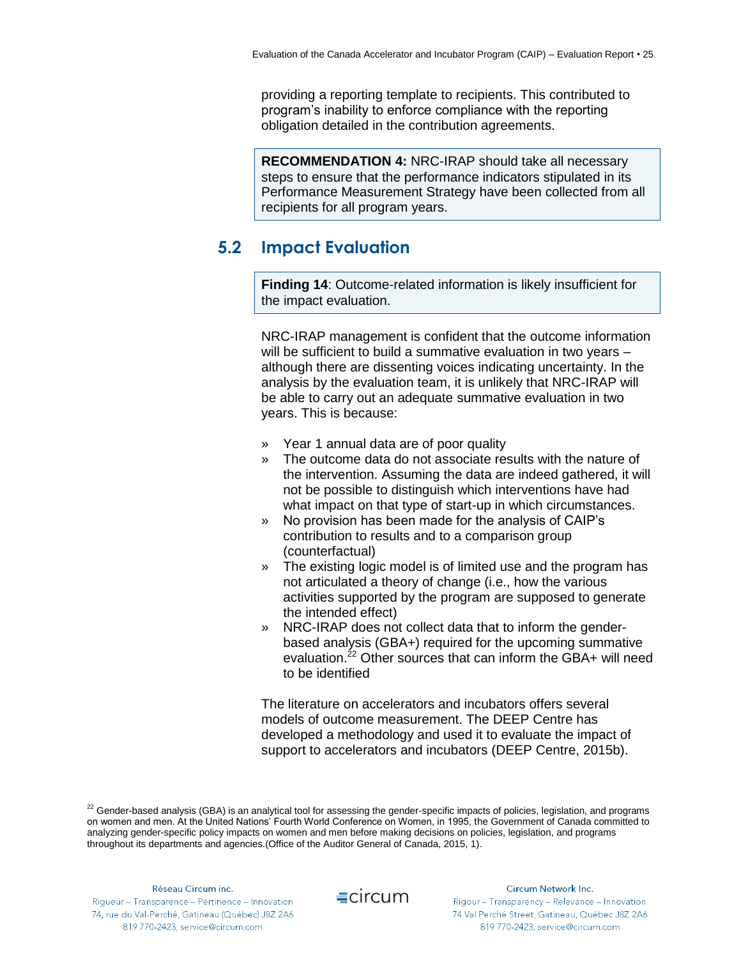providing a reporting template to recipients. This contributed to program's inability to enforce compliance with the reporting obligation detailed in the contribution agreements.

**RECOMMENDATION 4:** NRC-IRAP should take all necessary steps to ensure that the performance indicators stipulated in its Performance Measurement Strategy have been collected from all recipients for all program years.

## <span id="page-32-0"></span>**5.2 Impact Evaluation**

**Finding 14**: Outcome-related information is likely insufficient for the impact evaluation.

NRC-IRAP management is confident that the outcome information will be sufficient to build a summative evaluation in two years – although there are dissenting voices indicating uncertainty. In the analysis by the evaluation team, it is unlikely that NRC-IRAP will be able to carry out an adequate summative evaluation in two years. This is because:

- » Year 1 annual data are of poor quality
- » The outcome data do not associate results with the nature of the intervention. Assuming the data are indeed gathered, it will not be possible to distinguish which interventions have had what impact on that type of start-up in which circumstances.
- » No provision has been made for the analysis of CAIP's contribution to results and to a comparison group (counterfactual)
- » The existing logic model is of limited use and the program has not articulated a theory of change (i.e., how the various activities supported by the program are supposed to generate the intended effect)
- » NRC-IRAP does not collect data that to inform the genderbased analysis (GBA+) required for the upcoming summative evaluation.<sup>22</sup> Other sources that can inform the GBA+ will need to be identified

The literature on accelerators and incubators offers several models of outcome measurement. The DEEP Centre has developed a methodology and used it to evaluate the impact of support to accelerators and incubators (DEEP Centre, 2015b).

#### Réseau Circum inc.

Rigueur – Transparence – Pertinence – Innovation 74, rue du Val-Perché, Gatineau (Québec) J8Z 2A6 819 770-2423, service@circum.com

 $=$ circum

 $22$  Gender-based analysis (GBA) is an analytical tool for assessing the gender-specific impacts of policies, legislation, and programs on women and men. At the United Nations' Fourth World Conference on Women, in 1995, the Government of Canada committed to analyzing gender-specific policy impacts on women and men before making decisions on policies, legislation, and programs throughout its departments and agencies.(Office of the Auditor General of Canada, 2015, 1).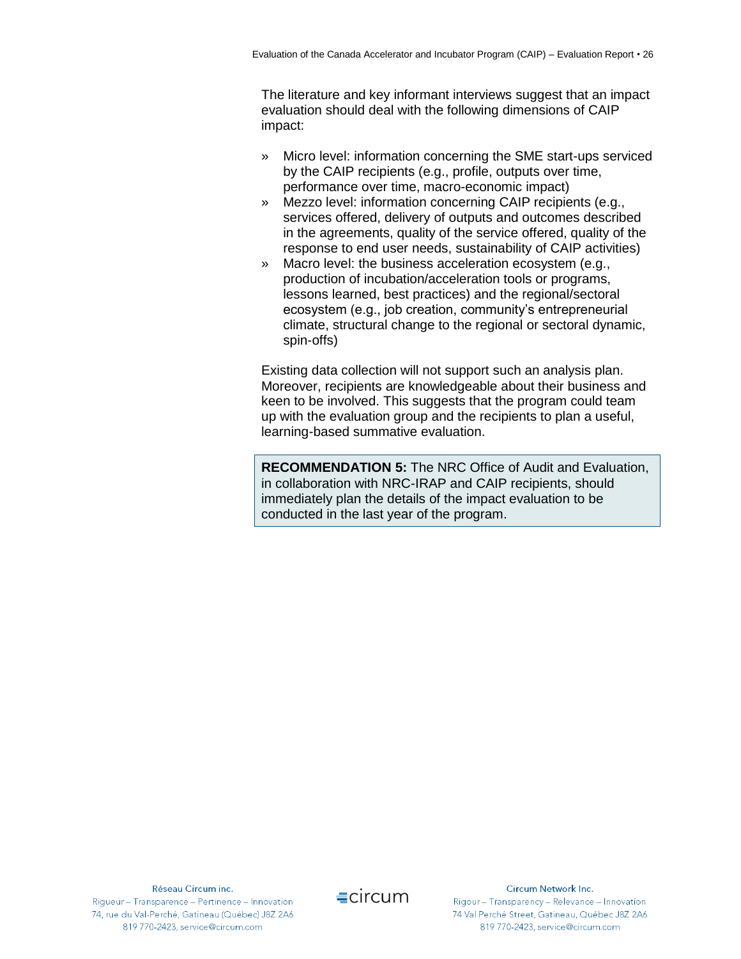The literature and key informant interviews suggest that an impact evaluation should deal with the following dimensions of CAIP impact:

- » Micro level: information concerning the SME start-ups serviced by the CAIP recipients (e.g., profile, outputs over time, performance over time, macro-economic impact)
- » Mezzo level: information concerning CAIP recipients (e.g., services offered, delivery of outputs and outcomes described in the agreements, quality of the service offered, quality of the response to end user needs, sustainability of CAIP activities)
- » Macro level: the business acceleration ecosystem (e.g., production of incubation/acceleration tools or programs, lessons learned, best practices) and the regional/sectoral ecosystem (e.g., job creation, community's entrepreneurial climate, structural change to the regional or sectoral dynamic, spin-offs)

Existing data collection will not support such an analysis plan. Moreover, recipients are knowledgeable about their business and keen to be involved. This suggests that the program could team up with the evaluation group and the recipients to plan a useful, learning-based summative evaluation.

**RECOMMENDATION 5:** The NRC Office of Audit and Evaluation, in collaboration with NRC-IRAP and CAIP recipients, should immediately plan the details of the impact evaluation to be conducted in the last year of the program.

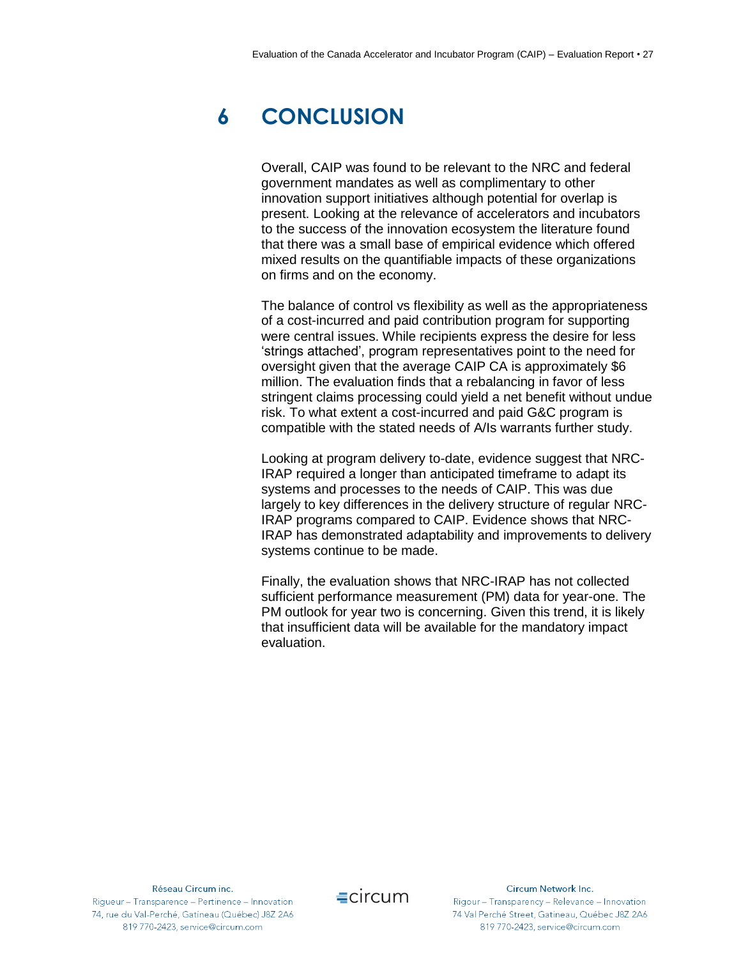# <span id="page-34-0"></span>**6 CONCLUSION**

Overall, CAIP was found to be relevant to the NRC and federal government mandates as well as complimentary to other innovation support initiatives although potential for overlap is present. Looking at the relevance of accelerators and incubators to the success of the innovation ecosystem the literature found that there was a small base of empirical evidence which offered mixed results on the quantifiable impacts of these organizations on firms and on the economy.

The balance of control vs flexibility as well as the appropriateness of a cost-incurred and paid contribution program for supporting were central issues. While recipients express the desire for less 'strings attached', program representatives point to the need for oversight given that the average CAIP CA is approximately \$6 million. The evaluation finds that a rebalancing in favor of less stringent claims processing could yield a net benefit without undue risk. To what extent a cost-incurred and paid G&C program is compatible with the stated needs of A/Is warrants further study.

Looking at program delivery to-date, evidence suggest that NRC-IRAP required a longer than anticipated timeframe to adapt its systems and processes to the needs of CAIP. This was due largely to key differences in the delivery structure of regular NRC-IRAP programs compared to CAIP. Evidence shows that NRC-IRAP has demonstrated adaptability and improvements to delivery systems continue to be made.

Finally, the evaluation shows that NRC-IRAP has not collected sufficient performance measurement (PM) data for year-one. The PM outlook for year two is concerning. Given this trend, it is likely that insufficient data will be available for the mandatory impact evaluation.

Réseau Circum inc. Rigueur – Transparence – Pertinence – Innovation 74, rue du Val-Perché, Gatineau (Québec) J8Z 2A6 819 770-2423, service@circum.com

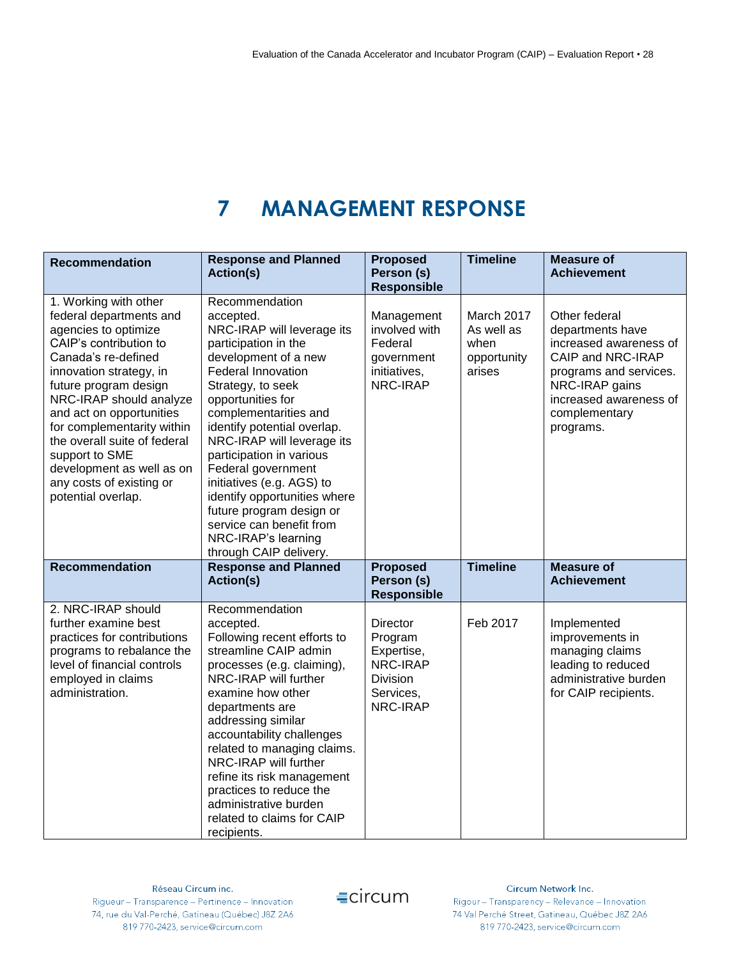# **7 MANAGEMENT RESPONSE**

<span id="page-35-0"></span>

| <b>Recommendation</b>                                                                                                                                                                                                                                                                                                                                                                               | <b>Response and Planned</b><br><b>Action(s)</b>                                                                                                                                                                                                                                                                                                                                                                                                                                                | <b>Proposed</b><br>Person (s)<br><b>Responsible</b>                                       | <b>Timeline</b>                                           | <b>Measure of</b><br><b>Achievement</b>                                                                                                                                              |
|-----------------------------------------------------------------------------------------------------------------------------------------------------------------------------------------------------------------------------------------------------------------------------------------------------------------------------------------------------------------------------------------------------|------------------------------------------------------------------------------------------------------------------------------------------------------------------------------------------------------------------------------------------------------------------------------------------------------------------------------------------------------------------------------------------------------------------------------------------------------------------------------------------------|-------------------------------------------------------------------------------------------|-----------------------------------------------------------|--------------------------------------------------------------------------------------------------------------------------------------------------------------------------------------|
| 1. Working with other<br>federal departments and<br>agencies to optimize<br>CAIP's contribution to<br>Canada's re-defined<br>innovation strategy, in<br>future program design<br>NRC-IRAP should analyze<br>and act on opportunities<br>for complementarity within<br>the overall suite of federal<br>support to SME<br>development as well as on<br>any costs of existing or<br>potential overlap. | Recommendation<br>accepted.<br>NRC-IRAP will leverage its<br>participation in the<br>development of a new<br><b>Federal Innovation</b><br>Strategy, to seek<br>opportunities for<br>complementarities and<br>identify potential overlap.<br>NRC-IRAP will leverage its<br>participation in various<br>Federal government<br>initiatives (e.g. AGS) to<br>identify opportunities where<br>future program design or<br>service can benefit from<br>NRC-IRAP's learning<br>through CAIP delivery. | Management<br>involved with<br>Federal<br>government<br>initiatives,<br>NRC-IRAP          | March 2017<br>As well as<br>when<br>opportunity<br>arises | Other federal<br>departments have<br>increased awareness of<br>CAIP and NRC-IRAP<br>programs and services.<br>NRC-IRAP gains<br>increased awareness of<br>complementary<br>programs. |
| <b>Recommendation</b>                                                                                                                                                                                                                                                                                                                                                                               | <b>Response and Planned</b><br><b>Action(s)</b>                                                                                                                                                                                                                                                                                                                                                                                                                                                | <b>Proposed</b><br>Person (s)<br><b>Responsible</b>                                       | <b>Timeline</b>                                           | <b>Measure of</b><br><b>Achievement</b>                                                                                                                                              |
| 2. NRC-IRAP should<br>further examine best<br>practices for contributions<br>programs to rebalance the<br>level of financial controls<br>employed in claims<br>administration.                                                                                                                                                                                                                      | Recommendation<br>accepted.<br>Following recent efforts to<br>streamline CAIP admin<br>processes (e.g. claiming),<br>NRC-IRAP will further<br>examine how other<br>departments are<br>addressing similar<br>accountability challenges<br>related to managing claims.<br>NRC-IRAP will further<br>refine its risk management<br>practices to reduce the<br>administrative burden<br>related to claims for CAIP<br>recipients.                                                                   | Director<br>Program<br>Expertise,<br>NRC-IRAP<br><b>Division</b><br>Services,<br>NRC-IRAP | Feb 2017                                                  | Implemented<br>improvements in<br>managing claims<br>leading to reduced<br>administrative burden<br>for CAIP recipients.                                                             |

 $=$ circum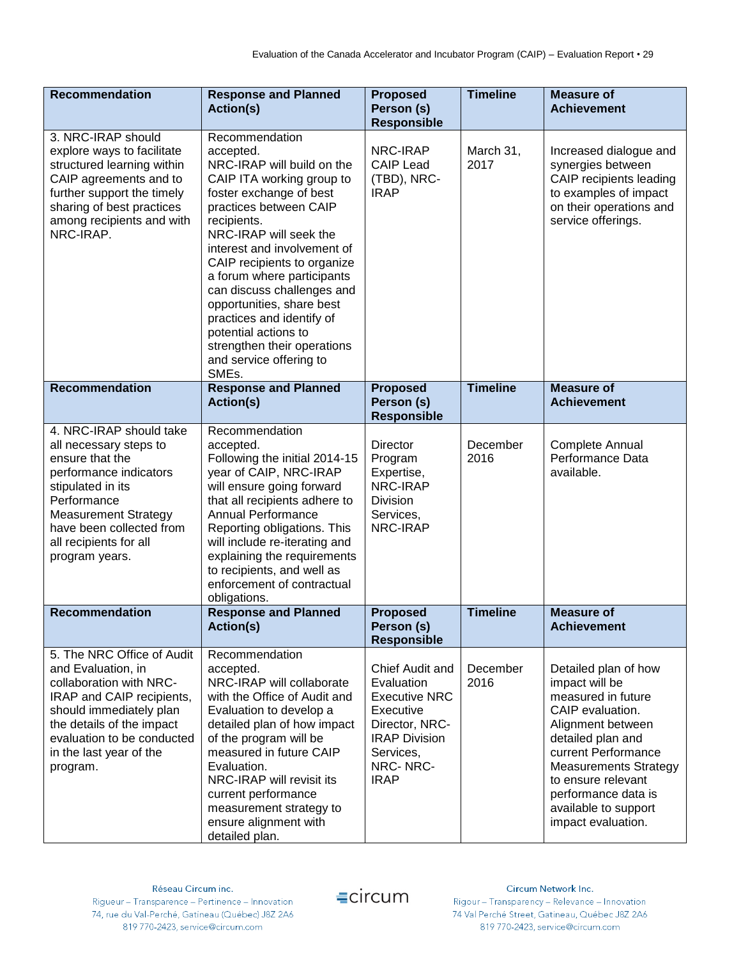| <b>Recommendation</b>                                                                                                                                                                                                                                                                                                                                                                                                                                                                                                                                                                                                                                                                | <b>Response and Planned</b><br>Action(s)                                                                                                                                                                                                                                                                                                                     | <b>Proposed</b><br>Person (s)<br><b>Responsible</b>                                                                                                  | <b>Timeline</b>   | <b>Measure of</b><br><b>Achievement</b>                                                                                                                                                                                                                                      |
|--------------------------------------------------------------------------------------------------------------------------------------------------------------------------------------------------------------------------------------------------------------------------------------------------------------------------------------------------------------------------------------------------------------------------------------------------------------------------------------------------------------------------------------------------------------------------------------------------------------------------------------------------------------------------------------|--------------------------------------------------------------------------------------------------------------------------------------------------------------------------------------------------------------------------------------------------------------------------------------------------------------------------------------------------------------|------------------------------------------------------------------------------------------------------------------------------------------------------|-------------------|------------------------------------------------------------------------------------------------------------------------------------------------------------------------------------------------------------------------------------------------------------------------------|
| 3. NRC-IRAP should<br>Recommendation<br>explore ways to facilitate<br>accepted.<br>structured learning within<br>NRC-IRAP will build on the<br>CAIP agreements and to<br>CAIP ITA working group to<br>further support the timely<br>foster exchange of best<br>sharing of best practices<br>practices between CAIP<br>among recipients and with<br>recipients.<br>NRC-IRAP.<br>NRC-IRAP will seek the<br>interest and involvement of<br>CAIP recipients to organize<br>a forum where participants<br>can discuss challenges and<br>opportunities, share best<br>practices and identify of<br>potential actions to<br>strengthen their operations<br>and service offering to<br>SMEs. |                                                                                                                                                                                                                                                                                                                                                              | NRC-IRAP<br><b>CAIP Lead</b><br>(TBD), NRC-<br><b>IRAP</b>                                                                                           | March 31,<br>2017 | Increased dialogue and<br>synergies between<br><b>CAIP</b> recipients leading<br>to examples of impact<br>on their operations and<br>service offerings.                                                                                                                      |
| <b>Recommendation</b>                                                                                                                                                                                                                                                                                                                                                                                                                                                                                                                                                                                                                                                                | <b>Response and Planned</b><br><b>Action(s)</b>                                                                                                                                                                                                                                                                                                              | <b>Proposed</b><br>Person (s)<br><b>Responsible</b>                                                                                                  | <b>Timeline</b>   | <b>Measure of</b><br><b>Achievement</b>                                                                                                                                                                                                                                      |
| 4. NRC-IRAP should take<br>all necessary steps to<br>ensure that the<br>performance indicators<br>stipulated in its<br>Performance<br><b>Measurement Strategy</b><br>have been collected from<br>all recipients for all<br>program years.                                                                                                                                                                                                                                                                                                                                                                                                                                            | Recommendation<br>accepted.<br>Following the initial 2014-15<br>year of CAIP, NRC-IRAP<br>will ensure going forward<br>that all recipients adhere to<br><b>Annual Performance</b><br>Reporting obligations. This<br>will include re-iterating and<br>explaining the requirements<br>to recipients, and well as<br>enforcement of contractual<br>obligations. | Director<br>Program<br>Expertise,<br>NRC-IRAP<br><b>Division</b><br>Services,<br>NRC-IRAP                                                            | December<br>2016  | Complete Annual<br>Performance Data<br>available.                                                                                                                                                                                                                            |
| <b>Recommendation</b>                                                                                                                                                                                                                                                                                                                                                                                                                                                                                                                                                                                                                                                                | <b>Response and Planned</b><br><b>Action(s)</b>                                                                                                                                                                                                                                                                                                              | <b>Proposed</b><br>Person (s)<br><b>Responsible</b>                                                                                                  | <b>Timeline</b>   | <b>Measure of</b><br><b>Achievement</b>                                                                                                                                                                                                                                      |
| 5. The NRC Office of Audit<br>and Evaluation, in<br>collaboration with NRC-<br>IRAP and CAIP recipients,<br>should immediately plan<br>the details of the impact<br>evaluation to be conducted<br>in the last year of the<br>program.                                                                                                                                                                                                                                                                                                                                                                                                                                                | Recommendation<br>accepted.<br>NRC-IRAP will collaborate<br>with the Office of Audit and<br>Evaluation to develop a<br>detailed plan of how impact<br>of the program will be<br>measured in future CAIP<br>Evaluation.<br>NRC-IRAP will revisit its<br>current performance<br>measurement strategy to<br>ensure alignment with<br>detailed plan.             | Chief Audit and<br>Evaluation<br><b>Executive NRC</b><br>Executive<br>Director, NRC-<br><b>IRAP Division</b><br>Services,<br>NRC-NRC-<br><b>IRAP</b> | December<br>2016  | Detailed plan of how<br>impact will be<br>measured in future<br>CAIP evaluation.<br>Alignment between<br>detailed plan and<br>current Performance<br><b>Measurements Strategy</b><br>to ensure relevant<br>performance data is<br>available to support<br>impact evaluation. |

 $=$ circum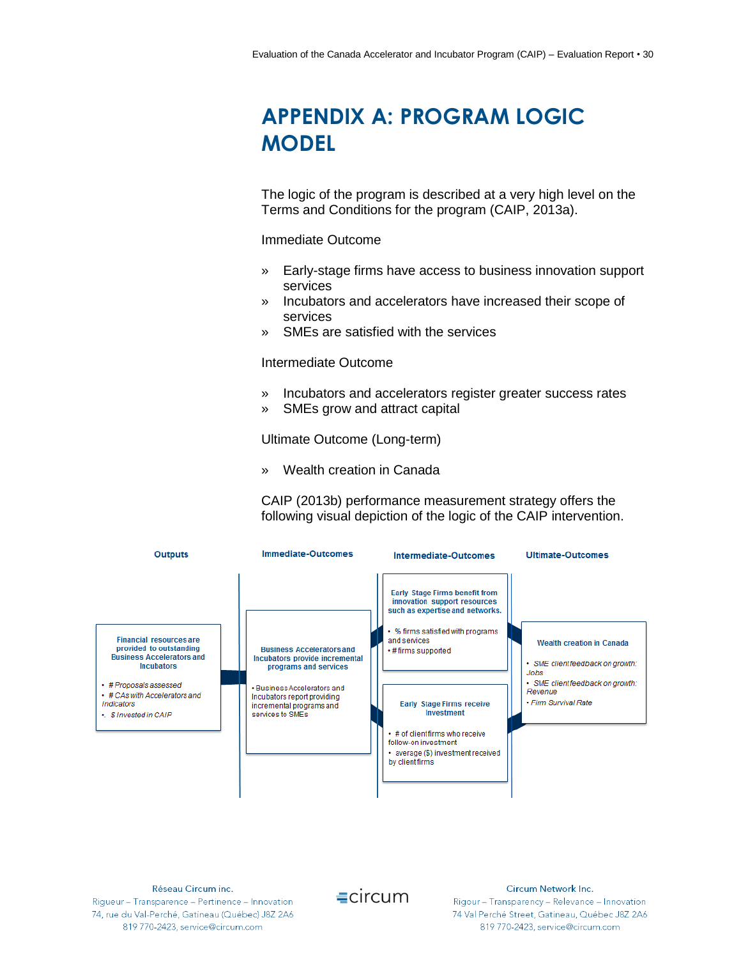# <span id="page-37-0"></span>**APPENDIX A: PROGRAM LOGIC MODEL**

The logic of the program is described at a very high level on the Terms and Conditions for the program (CAIP, 2013a).

Immediate Outcome

- » Early-stage firms have access to business innovation support services
- » Incubators and accelerators have increased their scope of services
- » SMEs are satisfied with the services

Intermediate Outcome

- » Incubators and accelerators register greater success rates
- » SMEs grow and attract capital

Ultimate Outcome (Long-term)

» Wealth creation in Canada

CAIP (2013b) performance measurement strategy offers the following visual depiction of the logic of the CAIP intervention.



Réseau Circum inc. Rigueur – Transparence – Pertinence – Innovation 74, rue du Val-Perché, Gatineau (Québec) J8Z 2A6 819 770-2423, service@circum.com

 $=$ circum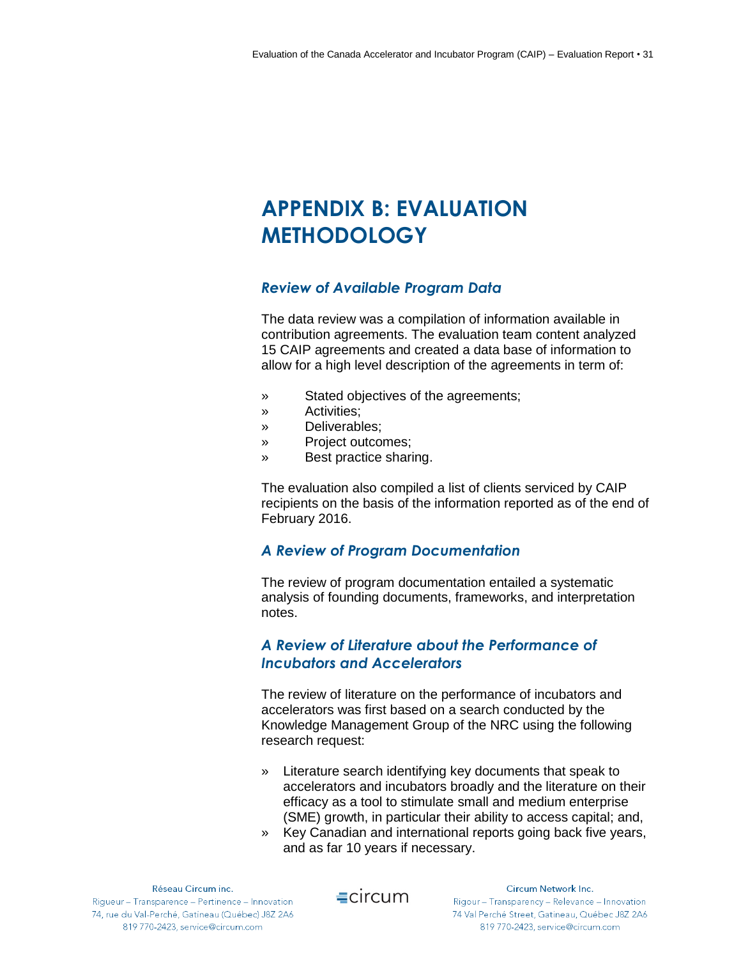# <span id="page-38-0"></span>**APPENDIX B: EVALUATION METHODOLOGY**

## *Review of Available Program Data*

The data review was a compilation of information available in contribution agreements. The evaluation team content analyzed 15 CAIP agreements and created a data base of information to allow for a high level description of the agreements in term of:

- » Stated objectives of the agreements;
- » Activities;
- » Deliverables;
- » Project outcomes;
- » Best practice sharing.

The evaluation also compiled a list of clients serviced by CAIP recipients on the basis of the information reported as of the end of February 2016.

## *A Review of Program Documentation*

The review of program documentation entailed a systematic analysis of founding documents, frameworks, and interpretation notes.

## *A Review of Literature about the Performance of Incubators and Accelerators*

The review of literature on the performance of incubators and accelerators was first based on a search conducted by the Knowledge Management Group of the NRC using the following research request:

- » Literature search identifying key documents that speak to accelerators and incubators broadly and the literature on their efficacy as a tool to stimulate small and medium enterprise (SME) growth, in particular their ability to access capital; and,
- » Key Canadian and international reports going back five years, and as far 10 years if necessary.

Réseau Circum inc. Rigueur – Transparence – Pertinence – Innovation 74, rue du Val-Perché, Gatineau (Québec) J8Z 2A6 819 770-2423, service@circum.com

 $=$ circum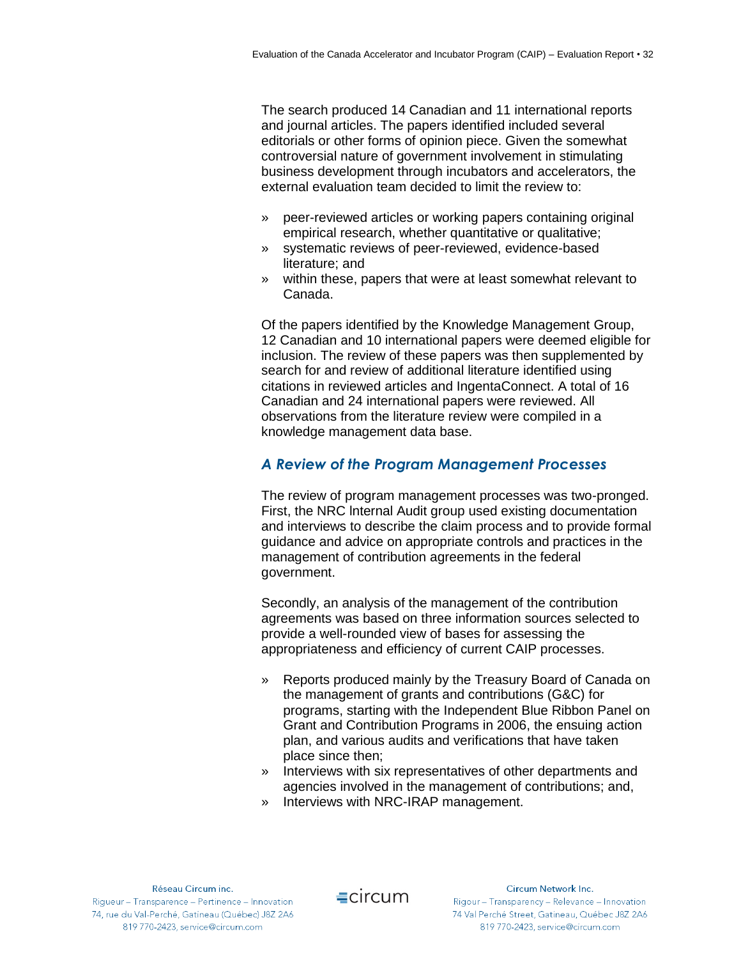The search produced 14 Canadian and 11 international reports and journal articles. The papers identified included several editorials or other forms of opinion piece. Given the somewhat controversial nature of government involvement in stimulating business development through incubators and accelerators, the external evaluation team decided to limit the review to:

- » peer-reviewed articles or working papers containing original empirical research, whether quantitative or qualitative;
- » systematic reviews of peer-reviewed, evidence-based literature; and
- » within these, papers that were at least somewhat relevant to Canada.

Of the papers identified by the Knowledge Management Group, 12 Canadian and 10 international papers were deemed eligible for inclusion. The review of these papers was then supplemented by search for and review of additional literature identified using citations in reviewed articles and IngentaConnect. A total of 16 Canadian and 24 international papers were reviewed. All observations from the literature review were compiled in a knowledge management data base.

## *A Review of the Program Management Processes*

The review of program management processes was two-pronged. First, the NRC lnternal Audit group used existing documentation and interviews to describe the claim process and to provide formal guidance and advice on appropriate controls and practices in the management of contribution agreements in the federal government.

Secondly, an analysis of the management of the contribution agreements was based on three information sources selected to provide a well-rounded view of bases for assessing the appropriateness and efficiency of current CAIP processes.

- » Reports produced mainly by the Treasury Board of Canada on the management of grants and contributions (G&C) for programs, starting with the Independent Blue Ribbon Panel on Grant and Contribution Programs in 2006, the ensuing action plan, and various audits and verifications that have taken place since then;
- » Interviews with six representatives of other departments and agencies involved in the management of contributions; and,
- » Interviews with NRC-IRAP management.

 $=$ circum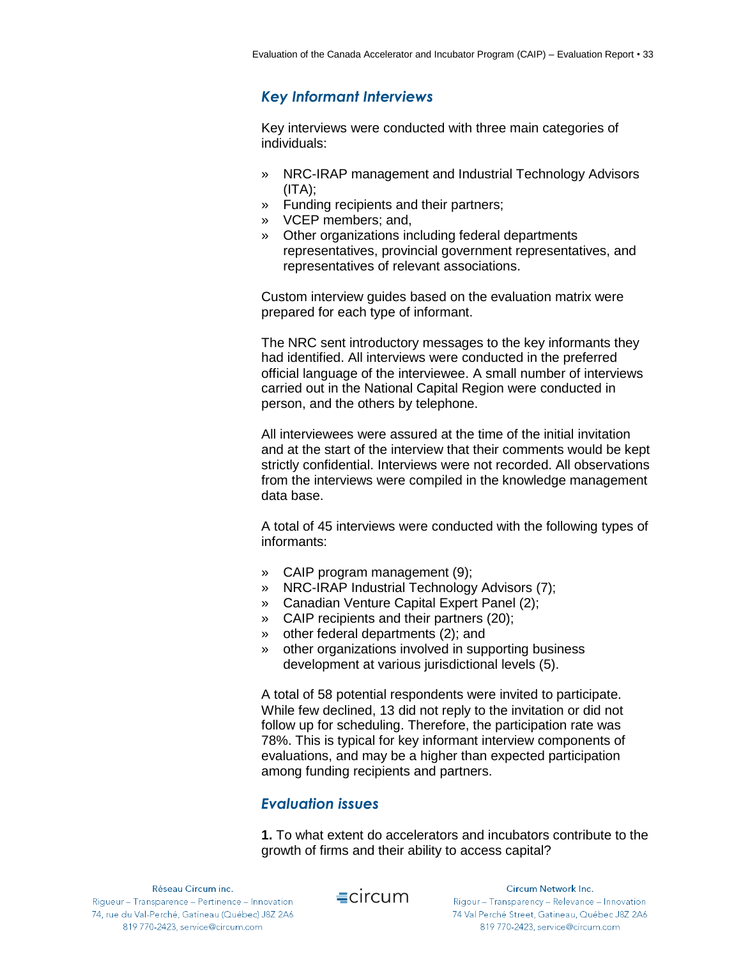## *Key Informant Interviews*

Key interviews were conducted with three main categories of individuals:

- » NRC-IRAP management and Industrial Technology Advisors (ITA);
- » Funding recipients and their partners;
- » VCEP members; and,
- » Other organizations including federal departments representatives, provincial government representatives, and representatives of relevant associations.

Custom interview guides based on the evaluation matrix were prepared for each type of informant.

The NRC sent introductory messages to the key informants they had identified. All interviews were conducted in the preferred official language of the interviewee. A small number of interviews carried out in the National Capital Region were conducted in person, and the others by telephone.

All interviewees were assured at the time of the initial invitation and at the start of the interview that their comments would be kept strictly confidential. Interviews were not recorded. All observations from the interviews were compiled in the knowledge management data base.

A total of 45 interviews were conducted with the following types of informants:

- » CAIP program management (9);
- » NRC-IRAP Industrial Technology Advisors (7);
- » Canadian Venture Capital Expert Panel (2);
- » CAIP recipients and their partners (20);
- » other federal departments (2); and
- » other organizations involved in supporting business development at various jurisdictional levels (5).

A total of 58 potential respondents were invited to participate. While few declined, 13 did not reply to the invitation or did not follow up for scheduling. Therefore, the participation rate was 78%. This is typical for key informant interview components of evaluations, and may be a higher than expected participation among funding recipients and partners.

## *Evaluation issues*

**1.** To what extent do accelerators and incubators contribute to the growth of firms and their ability to access capital?

#### Réseau Circum inc.

Rigueur – Transparence – Pertinence – Innovation 74, rue du Val-Perché, Gatineau (Québec) J8Z 2A6 819 770-2423, service@circum.com

 $=$ circum

#### Circum Network Inc.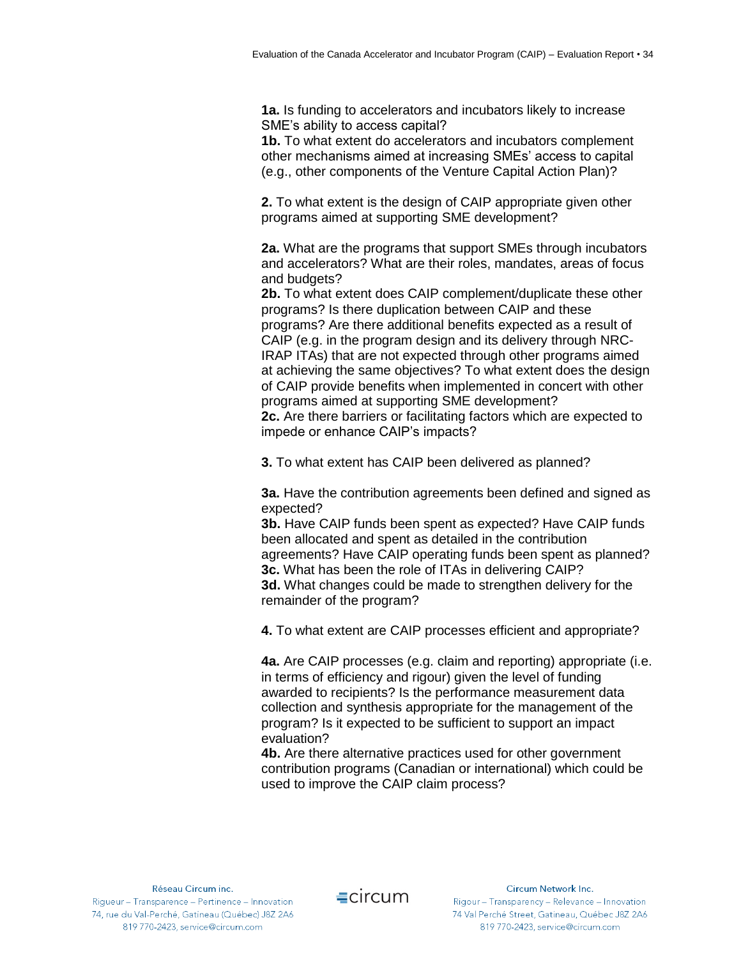**1a.** Is funding to accelerators and incubators likely to increase SME's ability to access capital?

**1b.** To what extent do accelerators and incubators complement other mechanisms aimed at increasing SMEs' access to capital (e.g., other components of the Venture Capital Action Plan)?

**2.** To what extent is the design of CAIP appropriate given other programs aimed at supporting SME development?

**2a.** What are the programs that support SMEs through incubators and accelerators? What are their roles, mandates, areas of focus and budgets?

**2b.** To what extent does CAIP complement/duplicate these other programs? Is there duplication between CAIP and these programs? Are there additional benefits expected as a result of CAIP (e.g. in the program design and its delivery through NRC-IRAP ITAs) that are not expected through other programs aimed at achieving the same objectives? To what extent does the design of CAIP provide benefits when implemented in concert with other programs aimed at supporting SME development? **2c.** Are there barriers or facilitating factors which are expected to impede or enhance CAIP's impacts?

**3.** To what extent has CAIP been delivered as planned?

**3a.** Have the contribution agreements been defined and signed as expected?

**3b.** Have CAIP funds been spent as expected? Have CAIP funds been allocated and spent as detailed in the contribution agreements? Have CAIP operating funds been spent as planned? **3c.** What has been the role of ITAs in delivering CAIP? **3d.** What changes could be made to strengthen delivery for the remainder of the program?

**4.** To what extent are CAIP processes efficient and appropriate?

**4a.** Are CAIP processes (e.g. claim and reporting) appropriate (i.e. in terms of efficiency and rigour) given the level of funding awarded to recipients? Is the performance measurement data collection and synthesis appropriate for the management of the program? Is it expected to be sufficient to support an impact evaluation?

**4b.** Are there alternative practices used for other government contribution programs (Canadian or international) which could be used to improve the CAIP claim process?

#### Réseau Circum inc.

Rigueur – Transparence – Pertinence – Innovation 74, rue du Val-Perché, Gatineau (Québec) J8Z 2A6 819 770-2423, service@circum.com

 $=$ circum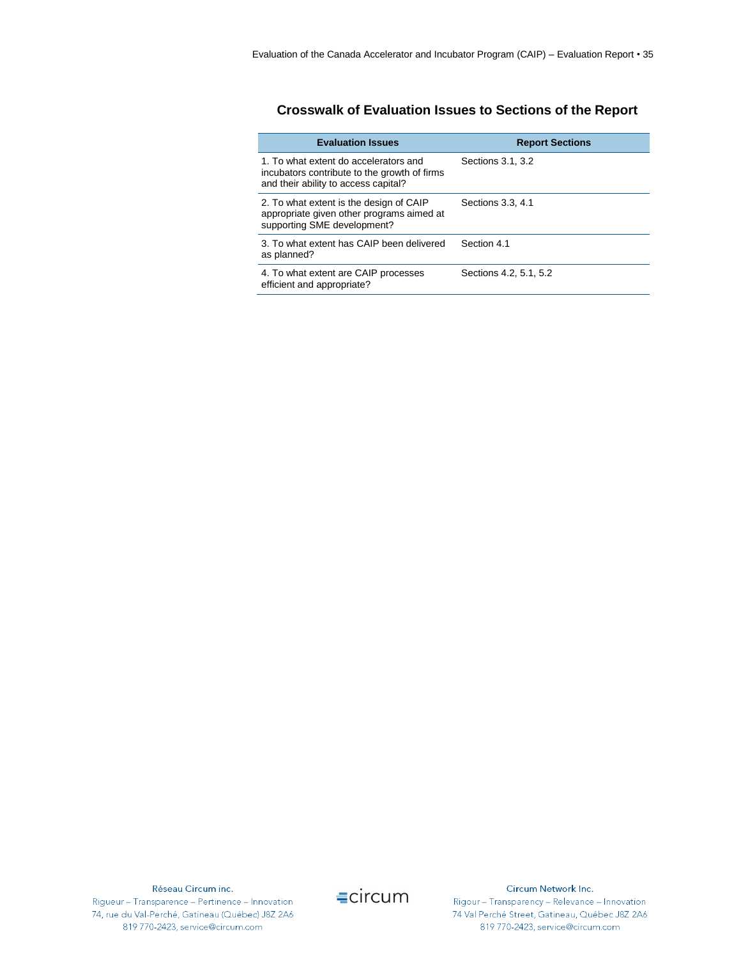## **Crosswalk of Evaluation Issues to Sections of the Report**

| <b>Evaluation Issues</b>                                                                                                      | <b>Report Sections</b> |
|-------------------------------------------------------------------------------------------------------------------------------|------------------------|
| 1. To what extent do accelerators and<br>incubators contribute to the growth of firms<br>and their ability to access capital? | Sections 3.1, 3.2      |
| 2. To what extent is the design of CAIP<br>appropriate given other programs aimed at<br>supporting SME development?           | Sections 3.3, 4.1      |
| 3. To what extent has CAIP been delivered<br>as planned?                                                                      | Section 4.1            |
| 4. To what extent are CAIP processes<br>efficient and appropriate?                                                            | Sections 4.2, 5.1, 5.2 |

#### Réseau Circum inc.

Rigueur – Transparence – Pertinence – Innovation 74, rue du Val-Perché, Gatineau (Québec) J8Z 2A6 819 770-2423, service@circum.com

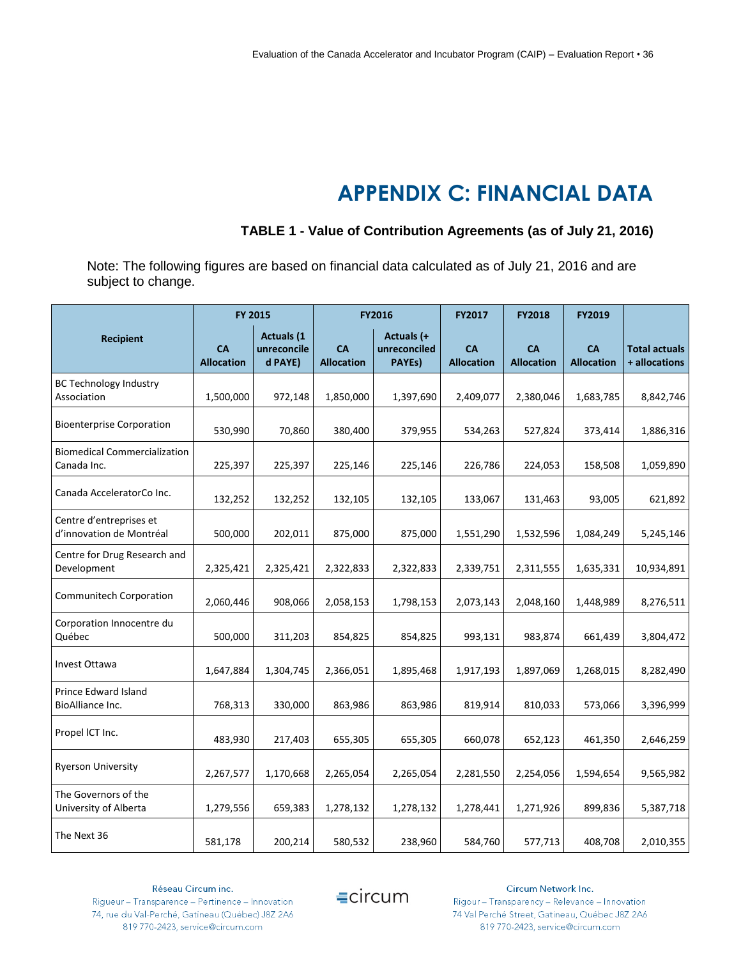# **APPENDIX C: FINANCIAL DATA**

## **TABLE 1 - Value of Contribution Agreements (as of July 21, 2016)**

<span id="page-43-0"></span>Note: The following figures are based on financial data calculated as of July 21, 2016 and are subject to change.

|                                                     |                                | FY 2015                                      |                                | FY2016                                      | FY2017                         | <b>FY2018</b>                  | FY2019                         |                                       |
|-----------------------------------------------------|--------------------------------|----------------------------------------------|--------------------------------|---------------------------------------------|--------------------------------|--------------------------------|--------------------------------|---------------------------------------|
| <b>Recipient</b>                                    | <b>CA</b><br><b>Allocation</b> | <b>Actuals (1)</b><br>unreconcile<br>d PAYE) | <b>CA</b><br><b>Allocation</b> | Actuals (+<br>unreconciled<br><b>PAYEs)</b> | <b>CA</b><br><b>Allocation</b> | <b>CA</b><br><b>Allocation</b> | <b>CA</b><br><b>Allocation</b> | <b>Total actuals</b><br>+ allocations |
| <b>BC Technology Industry</b><br>Association        | 1,500,000                      | 972,148                                      | 1,850,000                      | 1,397,690                                   | 2,409,077                      | 2,380,046                      | 1,683,785                      | 8,842,746                             |
| <b>Bioenterprise Corporation</b>                    | 530,990                        | 70,860                                       | 380,400                        | 379,955                                     | 534,263                        | 527,824                        | 373,414                        | 1,886,316                             |
| <b>Biomedical Commercialization</b><br>Canada Inc.  | 225,397                        | 225,397                                      | 225,146                        | 225,146                                     | 226,786                        | 224,053                        | 158,508                        | 1,059,890                             |
| Canada AcceleratorCo Inc.                           | 132,252                        | 132,252                                      | 132,105                        | 132,105                                     | 133,067                        | 131,463                        | 93,005                         | 621,892                               |
| Centre d'entreprises et<br>d'innovation de Montréal | 500,000                        | 202,011                                      | 875,000                        | 875,000                                     | 1,551,290                      | 1,532,596                      | 1,084,249                      | 5,245,146                             |
| Centre for Drug Research and<br>Development         | 2,325,421                      | 2,325,421                                    | 2,322,833                      | 2,322,833                                   | 2,339,751                      | 2,311,555                      | 1,635,331                      | 10,934,891                            |
| <b>Communitech Corporation</b>                      | 2,060,446                      | 908,066                                      | 2,058,153                      | 1,798,153                                   | 2,073,143                      | 2,048,160                      | 1,448,989                      | 8,276,511                             |
| Corporation Innocentre du<br>Québec                 | 500,000                        | 311,203                                      | 854,825                        | 854,825                                     | 993,131                        | 983,874                        | 661,439                        | 3,804,472                             |
| Invest Ottawa                                       | 1,647,884                      | 1,304,745                                    | 2,366,051                      | 1,895,468                                   | 1,917,193                      | 1,897,069                      | 1,268,015                      | 8,282,490                             |
| Prince Edward Island<br>BioAlliance Inc.            | 768,313                        | 330,000                                      | 863,986                        | 863,986                                     | 819,914                        | 810,033                        | 573,066                        | 3,396,999                             |
| Propel ICT Inc.                                     | 483,930                        | 217,403                                      | 655,305                        | 655,305                                     | 660,078                        | 652,123                        | 461,350                        | 2,646,259                             |
| <b>Ryerson University</b>                           | 2,267,577                      | 1,170,668                                    | 2,265,054                      | 2,265,054                                   | 2,281,550                      | 2,254,056                      | 1,594,654                      | 9,565,982                             |
| The Governors of the<br>University of Alberta       | 1,279,556                      | 659,383                                      | 1,278,132                      | 1,278,132                                   | 1,278,441                      | 1,271,926                      | 899,836                        | 5,387,718                             |
| The Next 36                                         | 581,178                        | 200,214                                      | 580,532                        | 238,960                                     | 584,760                        | 577,713                        | 408,708                        | 2,010,355                             |

Réseau Circum inc. Rigueur - Transparence - Pertinence - Innovation 74, rue du Val-Perché, Gatineau (Québec) J8Z 2A6 819 770-2423, service@circum.com

 $=$ circum

Circum Network Inc.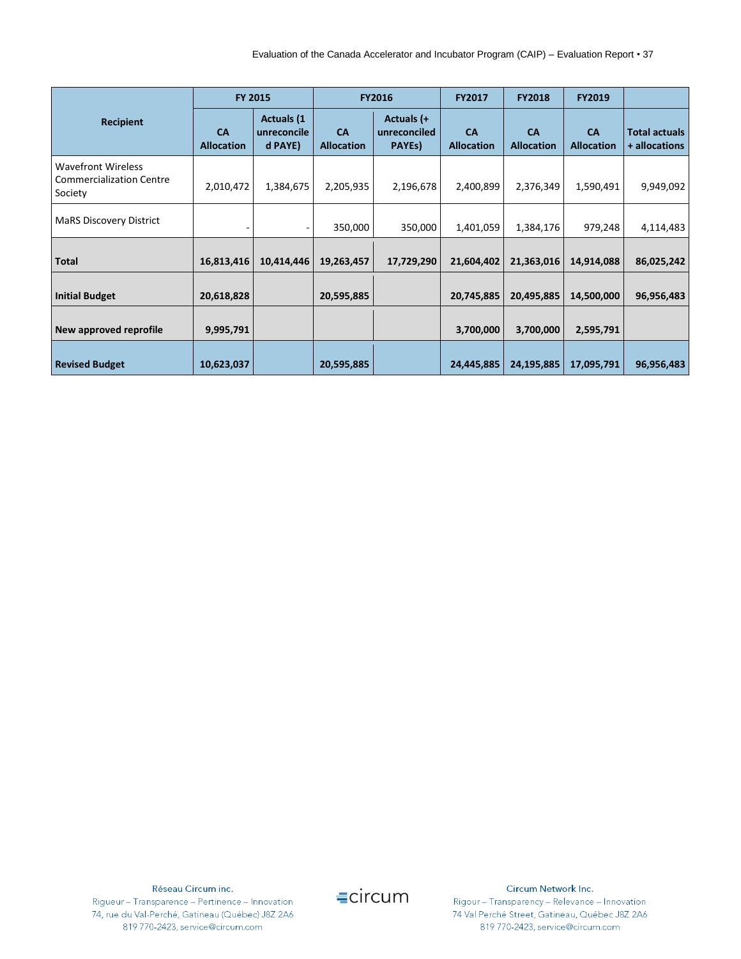|                                                                         | <b>FY 2015</b>                 |                                              | <b>FY2016</b>                  |                                                   | <b>FY2017</b>                  | <b>FY2018</b>                  | <b>FY2019</b>                  |                                |
|-------------------------------------------------------------------------|--------------------------------|----------------------------------------------|--------------------------------|---------------------------------------------------|--------------------------------|--------------------------------|--------------------------------|--------------------------------|
| <b>Recipient</b>                                                        | <b>CA</b><br><b>Allocation</b> | <b>Actuals (1)</b><br>unreconcile<br>d PAYE) | <b>CA</b><br><b>Allocation</b> | Actuals (+<br>unreconciled<br>PAYE <sub>s</sub> ) | <b>CA</b><br><b>Allocation</b> | <b>CA</b><br><b>Allocation</b> | <b>CA</b><br><b>Allocation</b> | Total actuals<br>+ allocations |
| <b>Wavefront Wireless</b><br><b>Commercialization Centre</b><br>Society | 2,010,472                      | 1,384,675                                    | 2,205,935                      | 2,196,678                                         | 2,400,899                      | 2,376,349                      | 1,590,491                      | 9,949,092                      |
| <b>MaRS Discovery District</b>                                          |                                |                                              | 350,000                        | 350,000                                           | 1,401,059                      | 1,384,176                      | 979,248                        | 4,114,483                      |
| <b>Total</b>                                                            | 16,813,416                     | 10,414,446                                   | 19,263,457                     | 17,729,290                                        | 21,604,402                     | 21,363,016                     | 14,914,088                     | 86,025,242                     |
| <b>Initial Budget</b>                                                   | 20,618,828                     |                                              | 20,595,885                     |                                                   | 20,745,885                     | 20,495,885                     | 14,500,000                     | 96,956,483                     |
| New approved reprofile                                                  | 9,995,791                      |                                              |                                |                                                   | 3,700,000                      | 3,700,000                      | 2,595,791                      |                                |
| <b>Revised Budget</b>                                                   | 10,623,037                     |                                              | 20,595,885                     |                                                   | 24,445,885                     | 24,195,885                     | 17,095,791                     | 96,956,483                     |

Réseau Circum inc.

Rigueur - Transparence - Pertinence - Innovation 74, rue du Val-Perché, Gatineau (Québec) J8Z 2A6 819 770-2423, service@circum.com

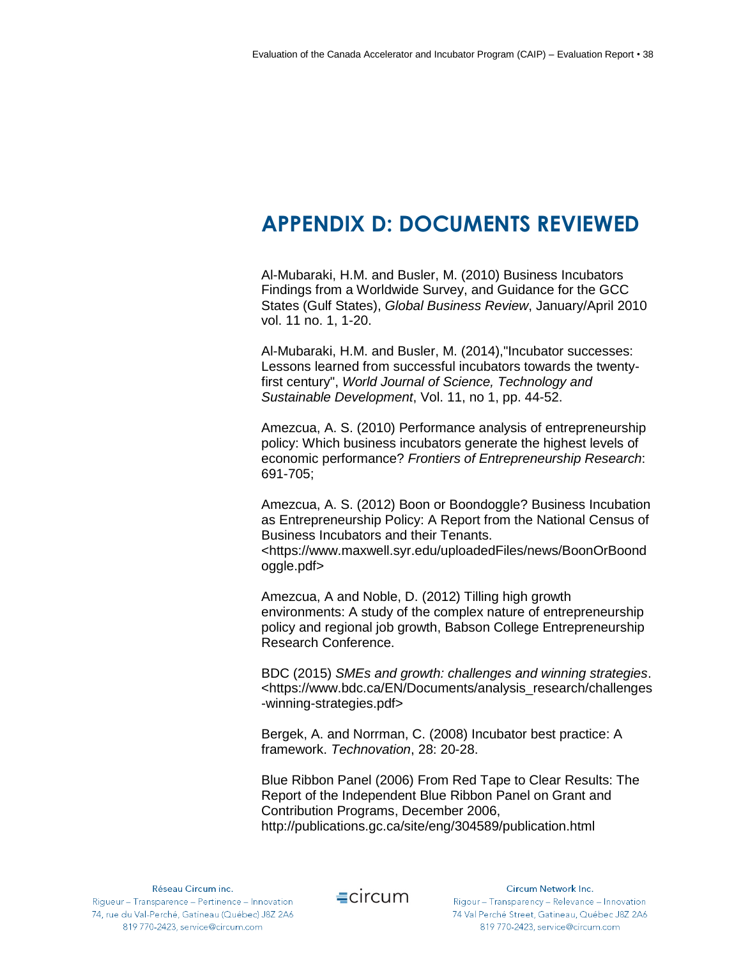# <span id="page-45-0"></span>**APPENDIX D: DOCUMENTS REVIEWED**

Al-Mubaraki, H.M. and Busler, M. (2010) Business Incubators Findings from a Worldwide Survey, and Guidance for the GCC States (Gulf States), *Global Business Review*, January/April 2010 vol. 11 no. 1, 1-20.

Al-Mubaraki, H.M. and Busler, M. (2014),"Incubator successes: Lessons learned from successful incubators towards the twentyfirst century", *World Journal of Science, Technology and Sustainable Development*, Vol. 11, no 1, pp. 44-52.

Amezcua, A. S. (2010) Performance analysis of entrepreneurship policy: Which business incubators generate the highest levels of economic performance? *Frontiers of Entrepreneurship Research*: 691-705;

Amezcua, A. S. (2012) Boon or Boondoggle? Business Incubation as Entrepreneurship Policy: A Report from the National Census of Business Incubators and their Tenants. <https://www.maxwell.syr.edu/uploadedFiles/news/BoonOrBoond oggle.pdf>

Amezcua, A and Noble, D. (2012) Tilling high growth environments: A study of the complex nature of entrepreneurship policy and regional job growth, Babson College Entrepreneurship Research Conference.

BDC (2015) *SMEs and growth: challenges and winning strategies*. <https://www.bdc.ca/EN/Documents/analysis\_research/challenges -winning-strategies.pdf>

Bergek, A. and Norrman, C. (2008) Incubator best practice: A framework. *Technovation*, 28: 20-28.

Blue Ribbon Panel (2006) From Red Tape to Clear Results: The Report of the Independent Blue Ribbon Panel on Grant and Contribution Programs, December 2006, http://publications.gc.ca/site/eng/304589/publication.html

#### Réseau Circum inc.

Rigueur - Transparence - Pertinence - Innovation 74, rue du Val-Perché, Gatineau (Québec) J8Z 2A6 819 770-2423, service@circum.com

 $=$ circum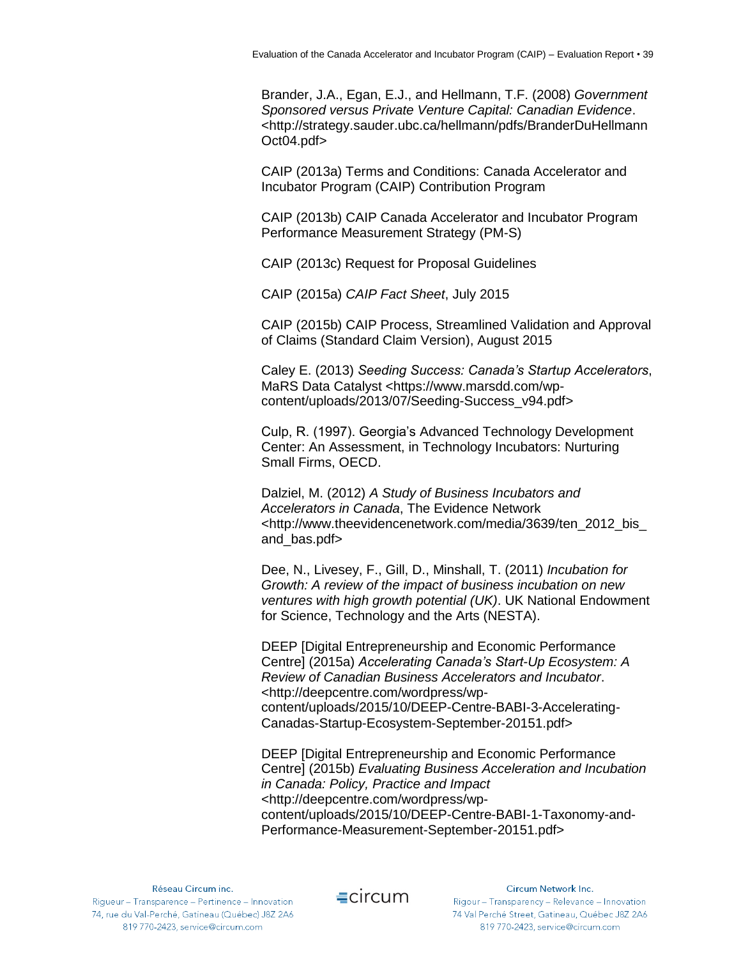Brander, J.A., Egan, E.J., and Hellmann, T.F. (2008) *Government Sponsored versus Private Venture Capital: Canadian Evidence*. <http://strategy.sauder.ubc.ca/hellmann/pdfs/BranderDuHellmann Oct04.pdf>

CAIP (2013a) Terms and Conditions: Canada Accelerator and Incubator Program (CAIP) Contribution Program

CAIP (2013b) CAIP Canada Accelerator and Incubator Program Performance Measurement Strategy (PM-S)

CAIP (2013c) Request for Proposal Guidelines

CAIP (2015a) *CAIP Fact Sheet*, July 2015

CAIP (2015b) CAIP Process, Streamlined Validation and Approval of Claims (Standard Claim Version), August 2015

Caley E. (2013) *Seeding Success: Canada's Startup Accelerators*, MaRS Data Catalyst <https://www.marsdd.com/wpcontent/uploads/2013/07/Seeding-Success\_v94.pdf>

Culp, R. (1997). Georgia's Advanced Technology Development Center: An Assessment, in Technology Incubators: Nurturing Small Firms, OECD.

Dalziel, M. (2012) *A Study of Business Incubators and Accelerators in Canada*, The Evidence Network <http://www.theevidencenetwork.com/media/3639/ten\_2012\_bis\_ and\_bas.pdf>

Dee, N., Livesey, F., Gill, D., Minshall, T. (2011) *Incubation for Growth: A review of the impact of business incubation on new ventures with high growth potential (UK)*. UK National Endowment for Science, Technology and the Arts (NESTA).

DEEP [Digital Entrepreneurship and Economic Performance Centre] (2015a) *Accelerating Canada's Start-Up Ecosystem: A Review of Canadian Business Accelerators and Incubator*. <http://deepcentre.com/wordpress/wpcontent/uploads/2015/10/DEEP-Centre-BABI-3-Accelerating-Canadas-Startup-Ecosystem-September-20151.pdf>

DEEP [Digital Entrepreneurship and Economic Performance Centre] (2015b) *Evaluating Business Acceleration and Incubation in Canada: Policy, Practice and Impact* <http://deepcentre.com/wordpress/wpcontent/uploads/2015/10/DEEP-Centre-BABI-1-Taxonomy-and-Performance-Measurement-September-20151.pdf>

#### Réseau Circum inc.

Rigueur – Transparence – Pertinence – Innovation 74, rue du Val-Perché, Gatineau (Québec) J8Z 2A6 819 770-2423, service@circum.com

 $=$ circum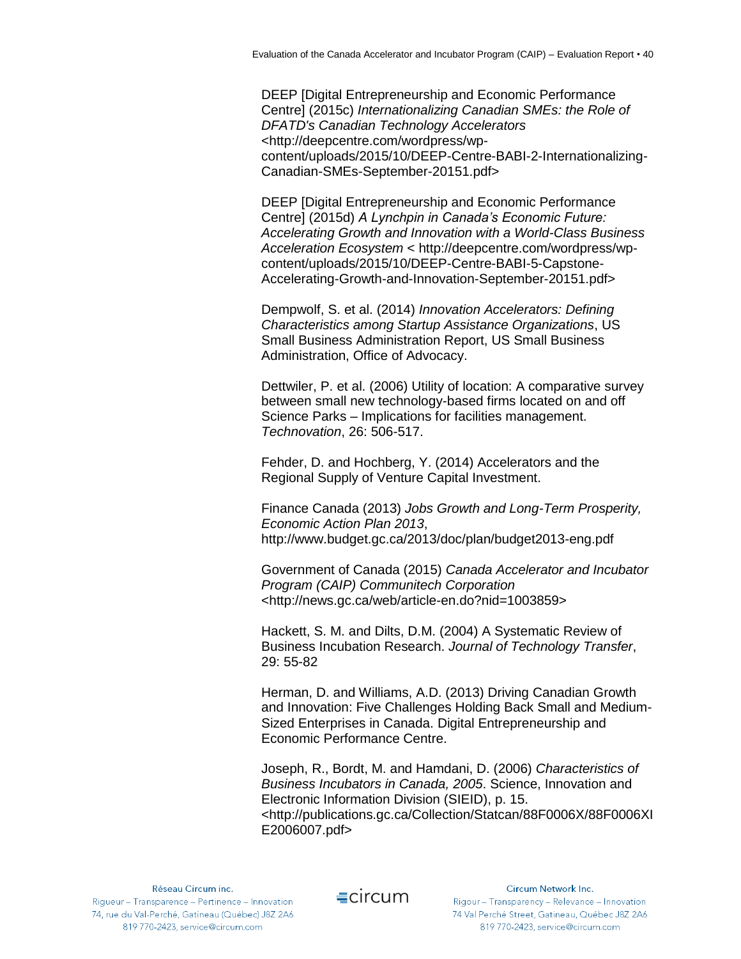DEEP [Digital Entrepreneurship and Economic Performance Centre] (2015c) *Internationalizing Canadian SMEs: the Role of DFATD's Canadian Technology Accelerators* <http://deepcentre.com/wordpress/wpcontent/uploads/2015/10/DEEP-Centre-BABI-2-Internationalizing-Canadian-SMEs-September-20151.pdf>

DEEP [Digital Entrepreneurship and Economic Performance Centre] (2015d) *A Lynchpin in Canada's Economic Future: Accelerating Growth and Innovation with a World-Class Business Acceleration Ecosystem* < http://deepcentre.com/wordpress/wpcontent/uploads/2015/10/DEEP-Centre-BABI-5-Capstone-Accelerating-Growth-and-Innovation-September-20151.pdf>

Dempwolf, S. et al. (2014) *Innovation Accelerators: Defining Characteristics among Startup Assistance Organizations*, US Small Business Administration Report, US Small Business Administration, Office of Advocacy.

Dettwiler, P. et al. (2006) Utility of location: A comparative survey between small new technology-based firms located on and off Science Parks – Implications for facilities management. *Technovation*, 26: 506-517.

Fehder, D. and Hochberg, Y. (2014) Accelerators and the Regional Supply of Venture Capital Investment.

Finance Canada (2013) *Jobs Growth and Long-Term Prosperity, Economic Action Plan 2013*, http://www.budget.gc.ca/2013/doc/plan/budget2013-eng.pdf

Government of Canada (2015) *Canada Accelerator and Incubator Program (CAIP) Communitech Corporation* <http://news.gc.ca/web/article-en.do?nid=1003859>

Hackett, S. M. and Dilts, D.M. (2004) A Systematic Review of Business Incubation Research. *Journal of Technology Transfer*, 29: 55-82

Herman, D. and Williams, A.D. (2013) Driving Canadian Growth and Innovation: Five Challenges Holding Back Small and Medium-Sized Enterprises in Canada. Digital Entrepreneurship and Economic Performance Centre.

Joseph, R., Bordt, M. and Hamdani, D. (2006) *Characteristics of Business Incubators in Canada, 2005*. Science, Innovation and Electronic Information Division (SIEID), p. 15. <http://publications.gc.ca/Collection/Statcan/88F0006X/88F0006XI E2006007.pdf>

#### Réseau Circum inc.

Rigueur – Transparence – Pertinence – Innovation 74, rue du Val-Perché, Gatineau (Québec) J8Z 2A6 819 770-2423, service@circum.com

 $=$ circum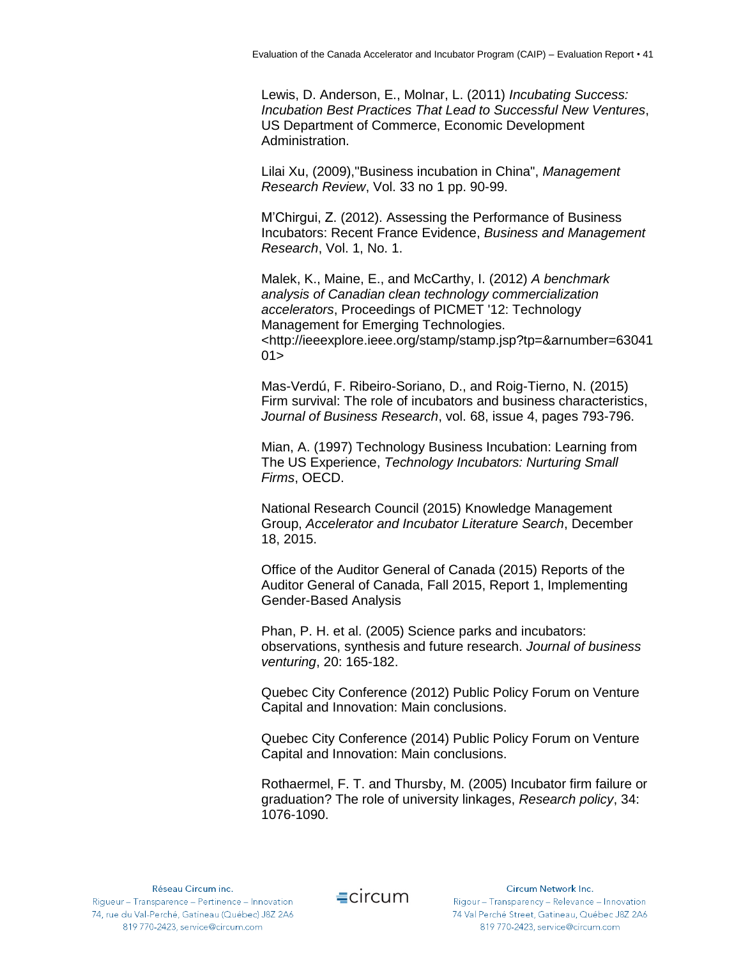Lewis, D. Anderson, E., Molnar, L. (2011) *Incubating Success: Incubation Best Practices That Lead to Successful New Ventures*, US Department of Commerce, Economic Development Administration.

Lilai Xu, (2009),"Business incubation in China", *Management Research Review*, Vol. 33 no 1 pp. 90-99.

M'Chirgui, Z. (2012). Assessing the Performance of Business Incubators: Recent France Evidence, *Business and Management Research*, Vol. 1, No. 1.

Malek, K., Maine, E., and McCarthy, I. (2012) *A benchmark analysis of Canadian clean technology commercialization accelerators*, Proceedings of PICMET '12: Technology Management for Emerging Technologies. <http://ieeexplore.ieee.org/stamp/stamp.jsp?tp=&arnumber=63041  $01>$ 

Mas-Verdú, F. Ribeiro-Soriano, D., and Roig-Tierno, N. (2015) Firm survival: The role of incubators and business characteristics, *Journal of Business Research*, vol. 68, issue 4, pages 793-796.

Mian, A. (1997) Technology Business Incubation: Learning from The US Experience, *Technology Incubators: Nurturing Small Firms*, OECD.

National Research Council (2015) Knowledge Management Group, *Accelerator and Incubator Literature Search*, December 18, 2015.

Office of the Auditor General of Canada (2015) Reports of the Auditor General of Canada, Fall 2015, Report 1, Implementing Gender-Based Analysis

Phan, P. H. et al. (2005) Science parks and incubators: observations, synthesis and future research. *Journal of business venturing*, 20: 165-182.

Quebec City Conference (2012) Public Policy Forum on Venture Capital and Innovation: Main conclusions.

Quebec City Conference (2014) Public Policy Forum on Venture Capital and Innovation: Main conclusions.

Rothaermel, F. T. and Thursby, M. (2005) Incubator firm failure or graduation? The role of university linkages, *Research policy*, 34: 1076-1090.

 $=$ circum